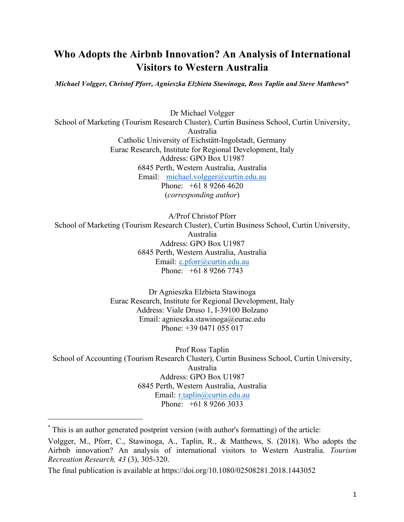## **Who Adopts the Airbnb Innovation? An Analysis of International Visitors to Western Australia**

*Michael Volgger, Christof Pforr, Agnieszka Elzbieta Stawinoga, Ross Taplin and Steve Matthews*\*

Dr Michael Volgger School of Marketing (Tourism Research Cluster), Curtin Business School, Curtin University, Australia Catholic University of Eichstätt-Ingolstadt, Germany Eurac Research, Institute for Regional Development, Italy Address: GPO Box U1987 6845 Perth, Western Australia, Australia Email: michael.volgger@curtin.edu.au Phone: +61 8 9266 4620 (*corresponding author*)

A/Prof Christof Pforr School of Marketing (Tourism Research Cluster), Curtin Business School, Curtin University, Australia Address: GPO Box U1987 6845 Perth, Western Australia, Australia Email: c.pforr@curtin.edu.au Phone: +61 8 9266 7743

> Dr Agnieszka Elzbieta Stawinoga Eurac Research, Institute for Regional Development, Italy Address: Viale Druso 1, I-39100 Bolzano Email: agnieszka.stawinoga@eurac.edu Phone: +39 0471 055 017

Prof Ross Taplin School of Accounting (Tourism Research Cluster), Curtin Business School, Curtin University, Australia Address: GPO Box U1987 6845 Perth, Western Australia, Australia Email: r.taplin@curtin.edu.au Phone: +61 8 9266 3033

<u> Andrew Maria (1989)</u>

<sup>\*</sup> This is an author generated postprint version (with author's formatting) of the article:

Volgger, M., Pforr, C., Stawinoga, A., Taplin, R., & Matthews, S. (2018). Who adopts the Airbnb innovation? An analysis of international visitors to Western Australia. *Tourism Recreation Research, 43* (3), 305-320.

The final publication is available at https://doi.org/10.1080/02508281.2018.1443052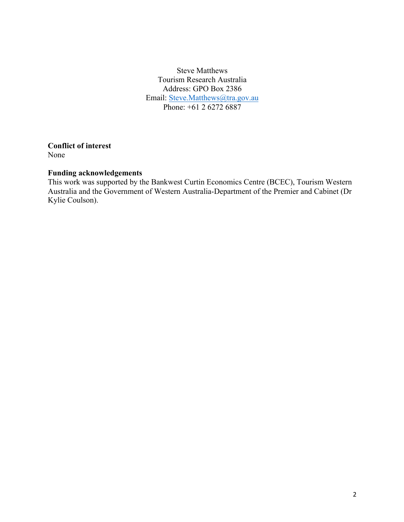Steve Matthews Tourism Research Australia Address: GPO Box 2386 Email: Steve.Matthews@tra.gov.au Phone: +61 2 6272 6887

**Conflict of interest** None

## **Funding acknowledgements**

This work was supported by the Bankwest Curtin Economics Centre (BCEC), Tourism Western Australia and the Government of Western Australia-Department of the Premier and Cabinet (Dr Kylie Coulson).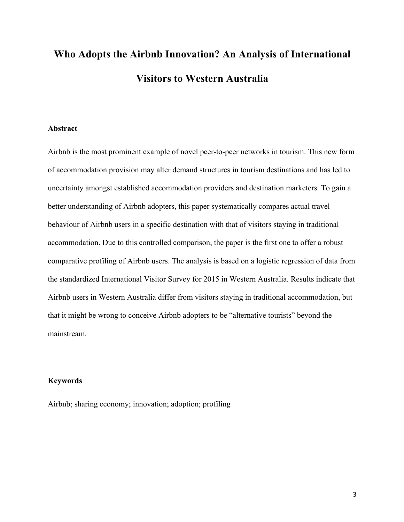# **Who Adopts the Airbnb Innovation? An Analysis of International Visitors to Western Australia**

## **Abstract**

Airbnb is the most prominent example of novel peer-to-peer networks in tourism. This new form of accommodation provision may alter demand structures in tourism destinations and has led to uncertainty amongst established accommodation providers and destination marketers. To gain a better understanding of Airbnb adopters, this paper systematically compares actual travel behaviour of Airbnb users in a specific destination with that of visitors staying in traditional accommodation. Due to this controlled comparison, the paper is the first one to offer a robust comparative profiling of Airbnb users. The analysis is based on a logistic regression of data from the standardized International Visitor Survey for 2015 in Western Australia. Results indicate that Airbnb users in Western Australia differ from visitors staying in traditional accommodation, but that it might be wrong to conceive Airbnb adopters to be "alternative tourists" beyond the mainstream.

## **Keywords**

Airbnb; sharing economy; innovation; adoption; profiling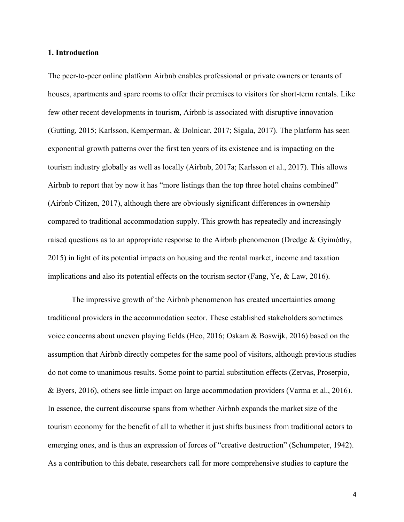#### **1. Introduction**

The peer-to-peer online platform Airbnb enables professional or private owners or tenants of houses, apartments and spare rooms to offer their premises to visitors for short-term rentals. Like few other recent developments in tourism, Airbnb is associated with disruptive innovation (Gutting, 2015; Karlsson, Kemperman, & Dolnicar, 2017; Sigala, 2017). The platform has seen exponential growth patterns over the first ten years of its existence and is impacting on the tourism industry globally as well as locally (Airbnb, 2017a; Karlsson et al., 2017). This allows Airbnb to report that by now it has "more listings than the top three hotel chains combined" (Airbnb Citizen, 2017), although there are obviously significant differences in ownership compared to traditional accommodation supply. This growth has repeatedly and increasingly raised questions as to an appropriate response to the Airbnb phenomenon (Dredge & Gyimóthy, 2015) in light of its potential impacts on housing and the rental market, income and taxation implications and also its potential effects on the tourism sector (Fang, Ye, & Law, 2016).

The impressive growth of the Airbnb phenomenon has created uncertainties among traditional providers in the accommodation sector. These established stakeholders sometimes voice concerns about uneven playing fields (Heo, 2016; Oskam & Boswijk, 2016) based on the assumption that Airbnb directly competes for the same pool of visitors, although previous studies do not come to unanimous results. Some point to partial substitution effects (Zervas, Proserpio, & Byers, 2016), others see little impact on large accommodation providers (Varma et al., 2016). In essence, the current discourse spans from whether Airbnb expands the market size of the tourism economy for the benefit of all to whether it just shifts business from traditional actors to emerging ones, and is thus an expression of forces of "creative destruction" (Schumpeter, 1942). As a contribution to this debate, researchers call for more comprehensive studies to capture the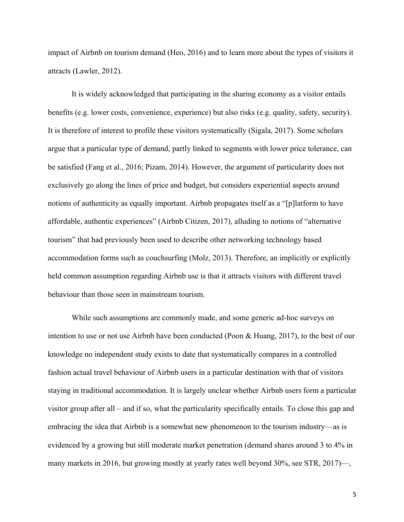impact of Airbnb on tourism demand (Heo, 2016) and to learn more about the types of visitors it attracts (Lawler, 2012).

It is widely acknowledged that participating in the sharing economy as a visitor entails benefits (e.g. lower costs, convenience, experience) but also risks (e.g. quality, safety, security). It is therefore of interest to profile these visitors systematically (Sigala, 2017). Some scholars argue that a particular type of demand, partly linked to segments with lower price tolerance, can be satisfied (Fang et al., 2016; Pizam, 2014). However, the argument of particularity does not exclusively go along the lines of price and budget, but considers experiential aspects around notions of authenticity as equally important. Airbnb propagates itself as a "[p]latform to have affordable, authentic experiences" (Airbnb Citizen, 2017), alluding to notions of "alternative tourism" that had previously been used to describe other networking technology based accommodation forms such as couchsurfing (Molz, 2013). Therefore, an implicitly or explicitly held common assumption regarding Airbnb use is that it attracts visitors with different travel behaviour than those seen in mainstream tourism.

While such assumptions are commonly made, and some generic ad-hoc surveys on intention to use or not use Airbnb have been conducted (Poon & Huang, 2017), to the best of our knowledge no independent study exists to date that systematically compares in a controlled fashion actual travel behaviour of Airbnb users in a particular destination with that of visitors staying in traditional accommodation. It is largely unclear whether Airbnb users form a particular visitor group after all – and if so, what the particularity specifically entails. To close this gap and embracing the idea that Airbnb is a somewhat new phenomenon to the tourism industry—as is evidenced by a growing but still moderate market penetration (demand shares around 3 to 4% in many markets in 2016, but growing mostly at yearly rates well beyond 30%, see STR, 2017)—,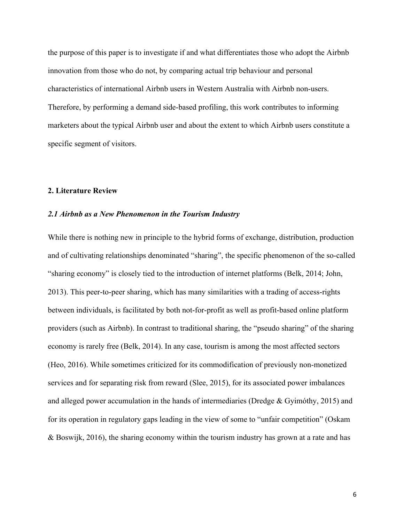the purpose of this paper is to investigate if and what differentiates those who adopt the Airbnb innovation from those who do not, by comparing actual trip behaviour and personal characteristics of international Airbnb users in Western Australia with Airbnb non-users. Therefore, by performing a demand side-based profiling, this work contributes to informing marketers about the typical Airbnb user and about the extent to which Airbnb users constitute a specific segment of visitors.

#### **2. Literature Review**

#### *2.1 Airbnb as a New Phenomenon in the Tourism Industry*

While there is nothing new in principle to the hybrid forms of exchange, distribution, production and of cultivating relationships denominated "sharing", the specific phenomenon of the so-called "sharing economy" is closely tied to the introduction of internet platforms (Belk, 2014; John, 2013). This peer-to-peer sharing, which has many similarities with a trading of access-rights between individuals, is facilitated by both not-for-profit as well as profit-based online platform providers (such as Airbnb). In contrast to traditional sharing, the "pseudo sharing" of the sharing economy is rarely free (Belk, 2014). In any case, tourism is among the most affected sectors (Heo, 2016). While sometimes criticized for its commodification of previously non-monetized services and for separating risk from reward (Slee, 2015), for its associated power imbalances and alleged power accumulation in the hands of intermediaries (Dredge & Gyimóthy, 2015) and for its operation in regulatory gaps leading in the view of some to "unfair competition" (Oskam & Boswijk, 2016), the sharing economy within the tourism industry has grown at a rate and has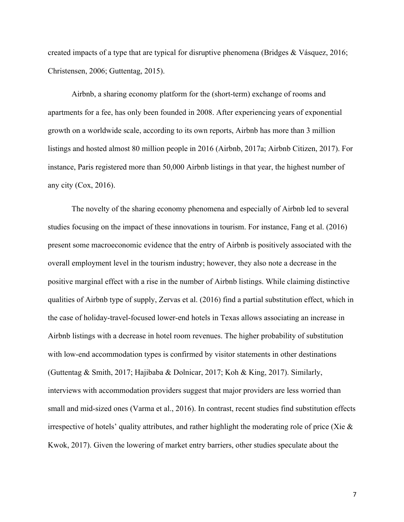created impacts of a type that are typical for disruptive phenomena (Bridges & Vásquez, 2016; Christensen, 2006; Guttentag, 2015).

Airbnb, a sharing economy platform for the (short-term) exchange of rooms and apartments for a fee, has only been founded in 2008. After experiencing years of exponential growth on a worldwide scale, according to its own reports, Airbnb has more than 3 million listings and hosted almost 80 million people in 2016 (Airbnb, 2017a; Airbnb Citizen, 2017). For instance, Paris registered more than 50,000 Airbnb listings in that year, the highest number of any city (Cox, 2016).

The novelty of the sharing economy phenomena and especially of Airbnb led to several studies focusing on the impact of these innovations in tourism. For instance, Fang et al. (2016) present some macroeconomic evidence that the entry of Airbnb is positively associated with the overall employment level in the tourism industry; however, they also note a decrease in the positive marginal effect with a rise in the number of Airbnb listings. While claiming distinctive qualities of Airbnb type of supply, Zervas et al. (2016) find a partial substitution effect, which in the case of holiday-travel-focused lower-end hotels in Texas allows associating an increase in Airbnb listings with a decrease in hotel room revenues. The higher probability of substitution with low-end accommodation types is confirmed by visitor statements in other destinations (Guttentag & Smith, 2017; Hajibaba & Dolnicar, 2017; Koh & King, 2017). Similarly, interviews with accommodation providers suggest that major providers are less worried than small and mid-sized ones (Varma et al., 2016). In contrast, recent studies find substitution effects irrespective of hotels' quality attributes, and rather highlight the moderating role of price (Xie & Kwok, 2017). Given the lowering of market entry barriers, other studies speculate about the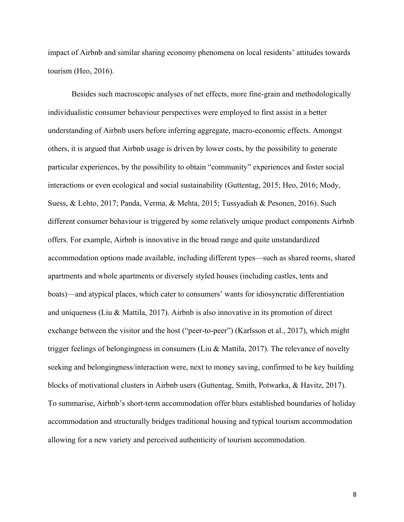impact of Airbnb and similar sharing economy phenomena on local residents' attitudes towards tourism (Heo, 2016).

Besides such macroscopic analyses of net effects, more fine-grain and methodologically individualistic consumer behaviour perspectives were employed to first assist in a better understanding of Airbnb users before inferring aggregate, macro-economic effects. Amongst others, it is argued that Airbnb usage is driven by lower costs, by the possibility to generate particular experiences, by the possibility to obtain "community" experiences and foster social interactions or even ecological and social sustainability (Guttentag, 2015; Heo, 2016; Mody, Suess, & Lehto, 2017; Panda, Verma, & Mehta, 2015; Tussyadiah & Pesonen, 2016). Such different consumer behaviour is triggered by some relatively unique product components Airbnb offers. For example, Airbnb is innovative in the broad range and quite unstandardized accommodation options made available, including different types—such as shared rooms, shared apartments and whole apartments or diversely styled houses (including castles, tents and boats)—and atypical places, which cater to consumers' wants for idiosyncratic differentiation and uniqueness (Liu & Mattila, 2017). Airbnb is also innovative in its promotion of direct exchange between the visitor and the host ("peer-to-peer") (Karlsson et al., 2017), which might trigger feelings of belongingness in consumers (Liu & Mattila, 2017). The relevance of novelty seeking and belongingness/interaction were, next to money saving, confirmed to be key building blocks of motivational clusters in Airbnb users (Guttentag, Smith, Potwarka, & Havitz, 2017). To summarise, Airbnb's short-term accommodation offer blurs established boundaries of holiday accommodation and structurally bridges traditional housing and typical tourism accommodation allowing for a new variety and perceived authenticity of tourism accommodation.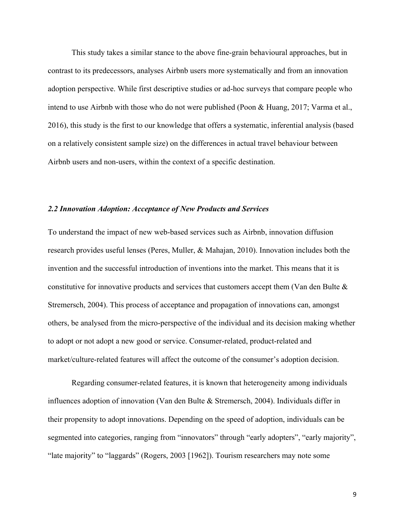This study takes a similar stance to the above fine-grain behavioural approaches, but in contrast to its predecessors, analyses Airbnb users more systematically and from an innovation adoption perspective. While first descriptive studies or ad-hoc surveys that compare people who intend to use Airbnb with those who do not were published (Poon & Huang, 2017; Varma et al., 2016), this study is the first to our knowledge that offers a systematic, inferential analysis (based on a relatively consistent sample size) on the differences in actual travel behaviour between Airbnb users and non-users, within the context of a specific destination.

#### *2.2 Innovation Adoption: Acceptance of New Products and Services*

To understand the impact of new web-based services such as Airbnb, innovation diffusion research provides useful lenses (Peres, Muller, & Mahajan, 2010). Innovation includes both the invention and the successful introduction of inventions into the market. This means that it is constitutive for innovative products and services that customers accept them (Van den Bulte  $\&$ Stremersch, 2004). This process of acceptance and propagation of innovations can, amongst others, be analysed from the micro-perspective of the individual and its decision making whether to adopt or not adopt a new good or service. Consumer-related, product-related and market/culture-related features will affect the outcome of the consumer's adoption decision.

Regarding consumer-related features, it is known that heterogeneity among individuals influences adoption of innovation (Van den Bulte & Stremersch, 2004). Individuals differ in their propensity to adopt innovations. Depending on the speed of adoption, individuals can be segmented into categories, ranging from "innovators" through "early adopters", "early majority", "late majority" to "laggards" (Rogers, 2003 [1962]). Tourism researchers may note some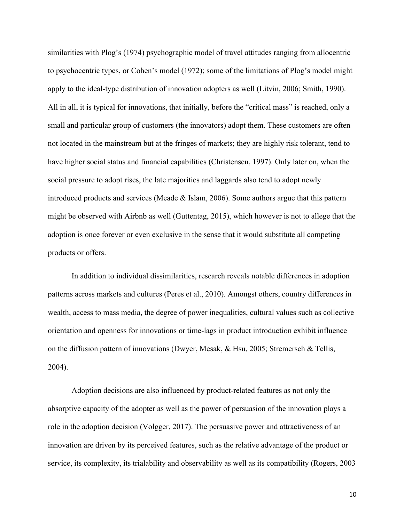similarities with Plog's (1974) psychographic model of travel attitudes ranging from allocentric to psychocentric types, or Cohen's model (1972); some of the limitations of Plog's model might apply to the ideal-type distribution of innovation adopters as well (Litvin, 2006; Smith, 1990). All in all, it is typical for innovations, that initially, before the "critical mass" is reached, only a small and particular group of customers (the innovators) adopt them. These customers are often not located in the mainstream but at the fringes of markets; they are highly risk tolerant, tend to have higher social status and financial capabilities (Christensen, 1997). Only later on, when the social pressure to adopt rises, the late majorities and laggards also tend to adopt newly introduced products and services (Meade & Islam, 2006). Some authors argue that this pattern might be observed with Airbnb as well (Guttentag, 2015), which however is not to allege that the adoption is once forever or even exclusive in the sense that it would substitute all competing products or offers.

In addition to individual dissimilarities, research reveals notable differences in adoption patterns across markets and cultures (Peres et al., 2010). Amongst others, country differences in wealth, access to mass media, the degree of power inequalities, cultural values such as collective orientation and openness for innovations or time-lags in product introduction exhibit influence on the diffusion pattern of innovations (Dwyer, Mesak, & Hsu, 2005; Stremersch & Tellis, 2004).

Adoption decisions are also influenced by product-related features as not only the absorptive capacity of the adopter as well as the power of persuasion of the innovation plays a role in the adoption decision (Volgger, 2017). The persuasive power and attractiveness of an innovation are driven by its perceived features, such as the relative advantage of the product or service, its complexity, its trialability and observability as well as its compatibility (Rogers, 2003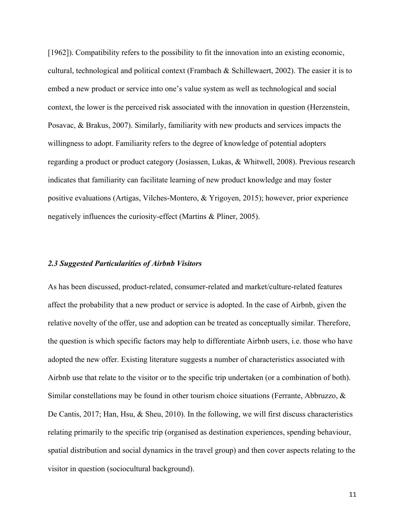[1962]). Compatibility refers to the possibility to fit the innovation into an existing economic, cultural, technological and political context (Frambach & Schillewaert, 2002). The easier it is to embed a new product or service into one's value system as well as technological and social context, the lower is the perceived risk associated with the innovation in question (Herzenstein, Posavac, & Brakus, 2007). Similarly, familiarity with new products and services impacts the willingness to adopt. Familiarity refers to the degree of knowledge of potential adopters regarding a product or product category (Josiassen, Lukas, & Whitwell, 2008). Previous research indicates that familiarity can facilitate learning of new product knowledge and may foster positive evaluations (Artigas, Vilches-Montero, & Yrigoyen, 2015); however, prior experience negatively influences the curiosity-effect (Martins & Pliner, 2005).

#### *2.3 Suggested Particularities of Airbnb Visitors*

As has been discussed, product-related, consumer-related and market/culture-related features affect the probability that a new product or service is adopted. In the case of Airbnb, given the relative novelty of the offer, use and adoption can be treated as conceptually similar. Therefore, the question is which specific factors may help to differentiate Airbnb users, i.e. those who have adopted the new offer. Existing literature suggests a number of characteristics associated with Airbnb use that relate to the visitor or to the specific trip undertaken (or a combination of both). Similar constellations may be found in other tourism choice situations (Ferrante, Abbruzzo, & De Cantis, 2017; Han, Hsu, & Sheu, 2010). In the following, we will first discuss characteristics relating primarily to the specific trip (organised as destination experiences, spending behaviour, spatial distribution and social dynamics in the travel group) and then cover aspects relating to the visitor in question (sociocultural background).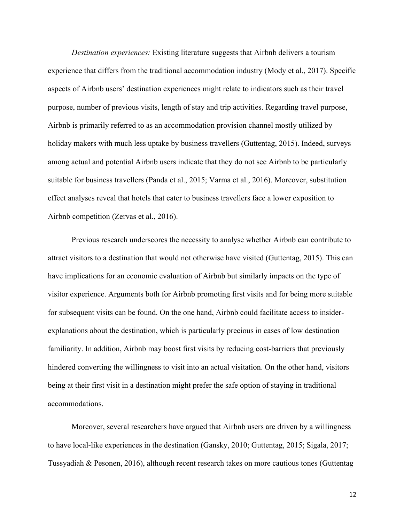*Destination experiences:* Existing literature suggests that Airbnb delivers a tourism experience that differs from the traditional accommodation industry (Mody et al., 2017). Specific aspects of Airbnb users' destination experiences might relate to indicators such as their travel purpose, number of previous visits, length of stay and trip activities. Regarding travel purpose, Airbnb is primarily referred to as an accommodation provision channel mostly utilized by holiday makers with much less uptake by business travellers (Guttentag, 2015). Indeed, surveys among actual and potential Airbnb users indicate that they do not see Airbnb to be particularly suitable for business travellers (Panda et al., 2015; Varma et al., 2016). Moreover, substitution effect analyses reveal that hotels that cater to business travellers face a lower exposition to Airbnb competition (Zervas et al., 2016).

Previous research underscores the necessity to analyse whether Airbnb can contribute to attract visitors to a destination that would not otherwise have visited (Guttentag, 2015). This can have implications for an economic evaluation of Airbnb but similarly impacts on the type of visitor experience. Arguments both for Airbnb promoting first visits and for being more suitable for subsequent visits can be found. On the one hand, Airbnb could facilitate access to insiderexplanations about the destination, which is particularly precious in cases of low destination familiarity. In addition, Airbnb may boost first visits by reducing cost-barriers that previously hindered converting the willingness to visit into an actual visitation. On the other hand, visitors being at their first visit in a destination might prefer the safe option of staying in traditional accommodations.

Moreover, several researchers have argued that Airbnb users are driven by a willingness to have local-like experiences in the destination (Gansky, 2010; Guttentag, 2015; Sigala, 2017; Tussyadiah & Pesonen, 2016), although recent research takes on more cautious tones (Guttentag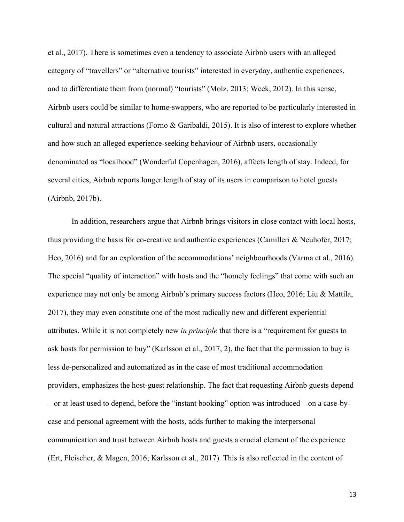et al., 2017). There is sometimes even a tendency to associate Airbnb users with an alleged category of "travellers" or "alternative tourists" interested in everyday, authentic experiences, and to differentiate them from (normal) "tourists" (Molz, 2013; Week, 2012). In this sense, Airbnb users could be similar to home-swappers, who are reported to be particularly interested in cultural and natural attractions (Forno & Garibaldi, 2015). It is also of interest to explore whether and how such an alleged experience-seeking behaviour of Airbnb users, occasionally denominated as "localhood" (Wonderful Copenhagen, 2016), affects length of stay. Indeed, for several cities, Airbnb reports longer length of stay of its users in comparison to hotel guests (Airbnb, 2017b).

In addition, researchers argue that Airbnb brings visitors in close contact with local hosts, thus providing the basis for co-creative and authentic experiences (Camilleri & Neuhofer, 2017; Heo, 2016) and for an exploration of the accommodations' neighbourhoods (Varma et al., 2016). The special "quality of interaction" with hosts and the "homely feelings" that come with such an experience may not only be among Airbnb's primary success factors (Heo, 2016; Liu & Mattila, 2017), they may even constitute one of the most radically new and different experiential attributes. While it is not completely new *in principle* that there is a "requirement for guests to ask hosts for permission to buy" (Karlsson et al., 2017, 2), the fact that the permission to buy is less de-personalized and automatized as in the case of most traditional accommodation providers, emphasizes the host-guest relationship. The fact that requesting Airbnb guests depend – or at least used to depend, before the "instant booking" option was introduced – on a case-bycase and personal agreement with the hosts, adds further to making the interpersonal communication and trust between Airbnb hosts and guests a crucial element of the experience (Ert, Fleischer, & Magen, 2016; Karlsson et al., 2017). This is also reflected in the content of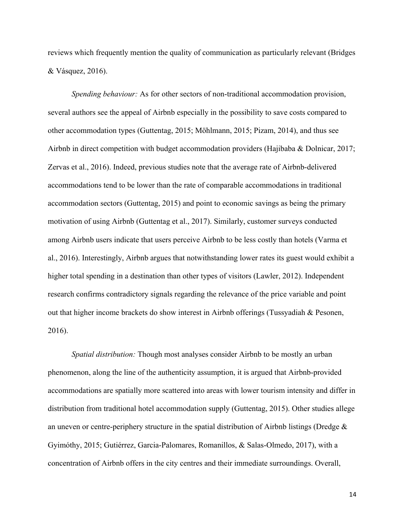reviews which frequently mention the quality of communication as particularly relevant (Bridges & Vásquez, 2016).

*Spending behaviour:* As for other sectors of non-traditional accommodation provision, several authors see the appeal of Airbnb especially in the possibility to save costs compared to other accommodation types (Guttentag, 2015; Möhlmann, 2015; Pizam, 2014), and thus see Airbnb in direct competition with budget accommodation providers (Hajibaba & Dolnicar, 2017; Zervas et al., 2016). Indeed, previous studies note that the average rate of Airbnb-delivered accommodations tend to be lower than the rate of comparable accommodations in traditional accommodation sectors (Guttentag, 2015) and point to economic savings as being the primary motivation of using Airbnb (Guttentag et al., 2017). Similarly, customer surveys conducted among Airbnb users indicate that users perceive Airbnb to be less costly than hotels (Varma et al., 2016). Interestingly, Airbnb argues that notwithstanding lower rates its guest would exhibit a higher total spending in a destination than other types of visitors (Lawler, 2012). Independent research confirms contradictory signals regarding the relevance of the price variable and point out that higher income brackets do show interest in Airbnb offerings (Tussyadiah & Pesonen, 2016).

*Spatial distribution:* Though most analyses consider Airbnb to be mostly an urban phenomenon, along the line of the authenticity assumption, it is argued that Airbnb-provided accommodations are spatially more scattered into areas with lower tourism intensity and differ in distribution from traditional hotel accommodation supply (Guttentag, 2015). Other studies allege an uneven or centre-periphery structure in the spatial distribution of Airbnb listings (Dredge & Gyimóthy, 2015; Gutiérrez, Garcia-Palomares, Romanillos, & Salas-Olmedo, 2017), with a concentration of Airbnb offers in the city centres and their immediate surroundings. Overall,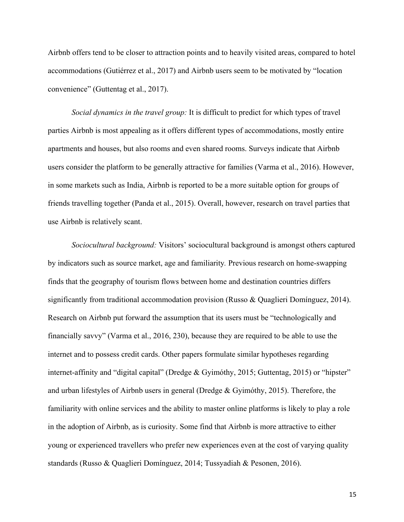Airbnb offers tend to be closer to attraction points and to heavily visited areas, compared to hotel accommodations (Gutiérrez et al., 2017) and Airbnb users seem to be motivated by "location convenience" (Guttentag et al., 2017).

*Social dynamics in the travel group:* It is difficult to predict for which types of travel parties Airbnb is most appealing as it offers different types of accommodations, mostly entire apartments and houses, but also rooms and even shared rooms. Surveys indicate that Airbnb users consider the platform to be generally attractive for families (Varma et al., 2016). However, in some markets such as India, Airbnb is reported to be a more suitable option for groups of friends travelling together (Panda et al., 2015). Overall, however, research on travel parties that use Airbnb is relatively scant.

*Sociocultural background:* Visitors' sociocultural background is amongst others captured by indicators such as source market, age and familiarity*.* Previous research on home-swapping finds that the geography of tourism flows between home and destination countries differs significantly from traditional accommodation provision (Russo & Quaglieri Domínguez, 2014). Research on Airbnb put forward the assumption that its users must be "technologically and financially savvy" (Varma et al., 2016, 230), because they are required to be able to use the internet and to possess credit cards. Other papers formulate similar hypotheses regarding internet-affinity and "digital capital" (Dredge & Gyimóthy, 2015; Guttentag, 2015) or "hipster" and urban lifestyles of Airbnb users in general (Dredge & Gyimóthy, 2015). Therefore, the familiarity with online services and the ability to master online platforms is likely to play a role in the adoption of Airbnb, as is curiosity. Some find that Airbnb is more attractive to either young or experienced travellers who prefer new experiences even at the cost of varying quality standards (Russo & Quaglieri Domínguez, 2014; Tussyadiah & Pesonen, 2016).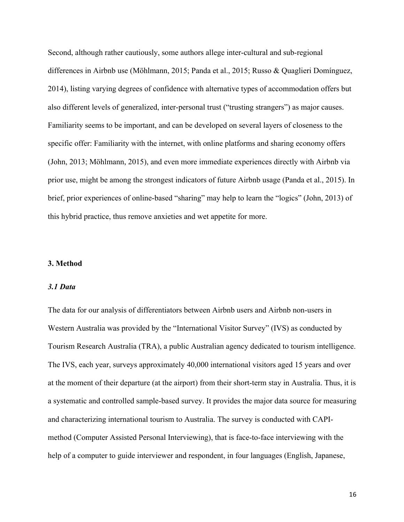Second, although rather cautiously, some authors allege inter-cultural and sub-regional differences in Airbnb use (Möhlmann, 2015; Panda et al., 2015; Russo & Quaglieri Domínguez, 2014), listing varying degrees of confidence with alternative types of accommodation offers but also different levels of generalized, inter-personal trust ("trusting strangers") as major causes. Familiarity seems to be important, and can be developed on several layers of closeness to the specific offer: Familiarity with the internet, with online platforms and sharing economy offers (John, 2013; Möhlmann, 2015), and even more immediate experiences directly with Airbnb via prior use, might be among the strongest indicators of future Airbnb usage (Panda et al., 2015). In brief, prior experiences of online-based "sharing" may help to learn the "logics" (John, 2013) of this hybrid practice, thus remove anxieties and wet appetite for more.

#### **3. Method**

## *3.1 Data*

The data for our analysis of differentiators between Airbnb users and Airbnb non-users in Western Australia was provided by the "International Visitor Survey" (IVS) as conducted by Tourism Research Australia (TRA), a public Australian agency dedicated to tourism intelligence. The IVS, each year, surveys approximately 40,000 international visitors aged 15 years and over at the moment of their departure (at the airport) from their short-term stay in Australia. Thus, it is a systematic and controlled sample-based survey. It provides the major data source for measuring and characterizing international tourism to Australia. The survey is conducted with CAPImethod (Computer Assisted Personal Interviewing), that is face-to-face interviewing with the help of a computer to guide interviewer and respondent, in four languages (English, Japanese,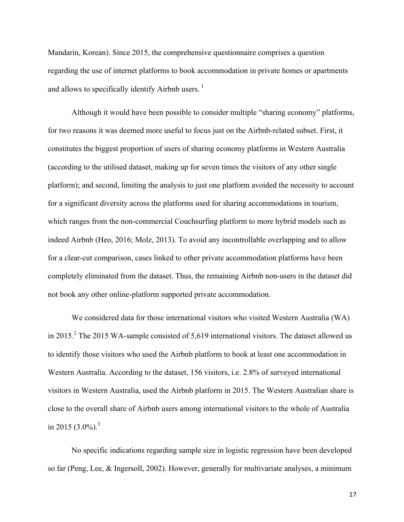Mandarin, Korean). Since 2015, the comprehensive questionnaire comprises a question regarding the use of internet platforms to book accommodation in private homes or apartments and allows to specifically identify Airbnb users.<sup>1</sup>

Although it would have been possible to consider multiple "sharing economy" platforms, for two reasons it was deemed more useful to focus just on the Airbnb-related subset. First, it constitutes the biggest proportion of users of sharing economy platforms in Western Australia (according to the utilised dataset, making up for seven times the visitors of any other single platform); and second, limiting the analysis to just one platform avoided the necessity to account for a significant diversity across the platforms used for sharing accommodations in tourism, which ranges from the non-commercial Couchsurfing platform to more hybrid models such as indeed Airbnb (Heo, 2016; Molz, 2013). To avoid any incontrollable overlapping and to allow for a clear-cut comparison, cases linked to other private accommodation platforms have been completely eliminated from the dataset. Thus, the remaining Airbnb non-users in the dataset did not book any other online-platform supported private accommodation.

We considered data for those international visitors who visited Western Australia (WA) in 2015.<sup>2</sup> The 2015 WA-sample consisted of 5,619 international visitors. The dataset allowed us to identify those visitors who used the Airbnb platform to book at least one accommodation in Western Australia. According to the dataset, 156 visitors, i.e. 2.8% of surveyed international visitors in Western Australia, used the Airbnb platform in 2015. The Western Australian share is close to the overall share of Airbnb users among international visitors to the whole of Australia in 2015  $(3.0\%)$ <sup>3</sup>

No specific indications regarding sample size in logistic regression have been developed so far (Peng, Lee, & Ingersoll, 2002). However, generally for multivariate analyses, a minimum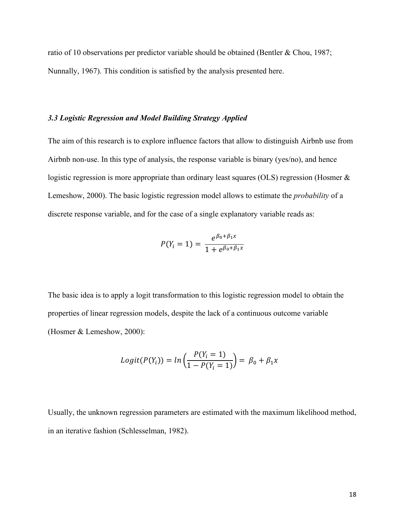ratio of 10 observations per predictor variable should be obtained (Bentler & Chou, 1987; Nunnally, 1967). This condition is satisfied by the analysis presented here.

#### *3.3 Logistic Regression and Model Building Strategy Applied*

The aim of this research is to explore influence factors that allow to distinguish Airbnb use from Airbnb non-use. In this type of analysis, the response variable is binary (yes/no), and hence logistic regression is more appropriate than ordinary least squares (OLS) regression (Hosmer  $\&$ Lemeshow, 2000). The basic logistic regression model allows to estimate the *probability* of a discrete response variable, and for the case of a single explanatory variable reads as:

$$
P(Y_i = 1) = \frac{e^{\beta_0 + \beta_1 x}}{1 + e^{\beta_0 + \beta_1 x}}
$$

The basic idea is to apply a logit transformation to this logistic regression model to obtain the properties of linear regression models, despite the lack of a continuous outcome variable (Hosmer & Lemeshow, 2000):

$$
Logit(P(Y_i)) = ln\left(\frac{P(Y_i = 1)}{1 - P(Y_i = 1)}\right) = \beta_0 + \beta_1 x
$$

Usually, the unknown regression parameters are estimated with the maximum likelihood method, in an iterative fashion (Schlesselman, 1982).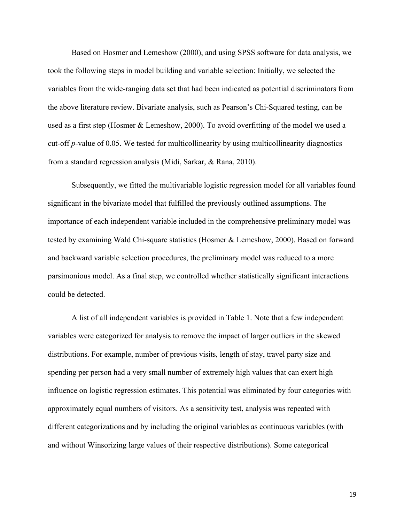Based on Hosmer and Lemeshow (2000), and using SPSS software for data analysis, we took the following steps in model building and variable selection: Initially, we selected the variables from the wide-ranging data set that had been indicated as potential discriminators from the above literature review. Bivariate analysis, such as Pearson's Chi-Squared testing, can be used as a first step (Hosmer & Lemeshow, 2000). To avoid overfitting of the model we used a cut-off *p*-value of 0.05. We tested for multicollinearity by using multicollinearity diagnostics from a standard regression analysis (Midi, Sarkar, & Rana, 2010).

Subsequently, we fitted the multivariable logistic regression model for all variables found significant in the bivariate model that fulfilled the previously outlined assumptions. The importance of each independent variable included in the comprehensive preliminary model was tested by examining Wald Chi-square statistics (Hosmer & Lemeshow, 2000). Based on forward and backward variable selection procedures, the preliminary model was reduced to a more parsimonious model. As a final step, we controlled whether statistically significant interactions could be detected.

A list of all independent variables is provided in Table 1. Note that a few independent variables were categorized for analysis to remove the impact of larger outliers in the skewed distributions. For example, number of previous visits, length of stay, travel party size and spending per person had a very small number of extremely high values that can exert high influence on logistic regression estimates. This potential was eliminated by four categories with approximately equal numbers of visitors. As a sensitivity test, analysis was repeated with different categorizations and by including the original variables as continuous variables (with and without Winsorizing large values of their respective distributions). Some categorical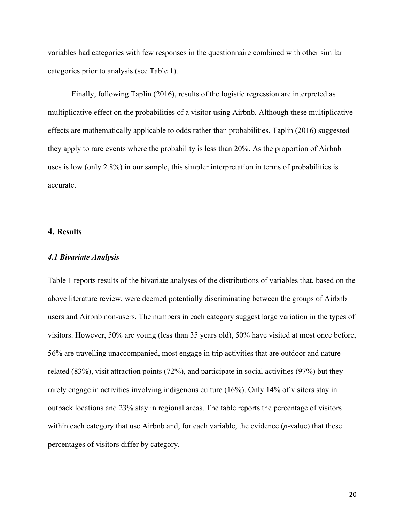variables had categories with few responses in the questionnaire combined with other similar categories prior to analysis (see Table 1).

Finally, following Taplin (2016), results of the logistic regression are interpreted as multiplicative effect on the probabilities of a visitor using Airbnb. Although these multiplicative effects are mathematically applicable to odds rather than probabilities, Taplin (2016) suggested they apply to rare events where the probability is less than 20%. As the proportion of Airbnb uses is low (only 2.8%) in our sample, this simpler interpretation in terms of probabilities is accurate.

#### **4. Results**

#### *4.1 Bivariate Analysis*

Table 1 reports results of the bivariate analyses of the distributions of variables that, based on the above literature review, were deemed potentially discriminating between the groups of Airbnb users and Airbnb non-users. The numbers in each category suggest large variation in the types of visitors. However, 50% are young (less than 35 years old), 50% have visited at most once before, 56% are travelling unaccompanied, most engage in trip activities that are outdoor and naturerelated (83%), visit attraction points (72%), and participate in social activities (97%) but they rarely engage in activities involving indigenous culture (16%). Only 14% of visitors stay in outback locations and 23% stay in regional areas. The table reports the percentage of visitors within each category that use Airbnb and, for each variable, the evidence (*p*-value) that these percentages of visitors differ by category.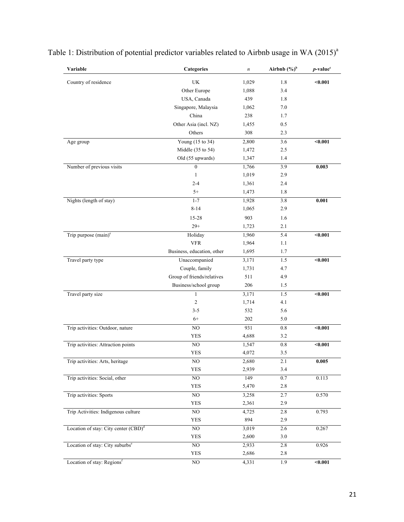| Variable                                         | Categories                 | $\boldsymbol{n}$ | Airbnb $(\%)^b$ | $p$ -value <sup>c</sup> |
|--------------------------------------------------|----------------------------|------------------|-----------------|-------------------------|
| Country of residence                             | UK                         | 1,029            | 1.8             | < 0.001                 |
|                                                  | Other Europe               | 1,088            | 3.4             |                         |
|                                                  | USA, Canada                | 439              | 1.8             |                         |
|                                                  | Singapore, Malaysia        | 1,062            | 7.0             |                         |
|                                                  | China                      | 238              | 1.7             |                         |
|                                                  | Other Asia (incl. NZ)      | 1,455            | 0.5             |                         |
|                                                  | Others                     | 308              | 2.3             |                         |
| Age group                                        | Young (15 to 34)           | 2,800            | 3.6             | $0.001$                 |
|                                                  | Middle (35 to 54)          | 1,472            | 2.5             |                         |
|                                                  | Old (55 upwards)           | 1,347            | 1.4             |                         |
| Number of previous visits                        | $\boldsymbol{0}$           | 1,766            | 3.9             | 0.003                   |
|                                                  | 1                          | 1,019            | 2.9             |                         |
|                                                  | $2 - 4$                    | 1,361            | 2.4             |                         |
|                                                  | $5+$                       | 1,473            | 1.8             |                         |
| Nights (length of stay)                          | $1 - 7$                    | 1,928            | 3.8             | 0.001                   |
|                                                  | $8 - 14$                   | 1,065            | 2.9             |                         |
|                                                  | $15 - 28$                  | 903              | 1.6             |                         |
|                                                  | $29+$                      | 1,723            | 2.1             |                         |
| Trip purpose $(main)^e$                          | Holiday                    | 1,960            | 5.4             | $0.001$                 |
|                                                  | <b>VFR</b>                 | 1,964            | 1.1             |                         |
|                                                  | Business, education, other | 1,695            | 1.7             |                         |
| Travel party type                                | Unaccompanied              | 3,171            | 1.5             | $0.001$                 |
|                                                  | Couple, family             | 1,731            | 4.7             |                         |
|                                                  | Group of friends/relatives | 511              | 4.9             |                         |
|                                                  | Business/school group      | 206              | 1.5             |                         |
| Travel party size                                | 1                          | 3,171            | 1.5             | $0.001$                 |
|                                                  | $\overline{c}$             | 1,714            | 4.1             |                         |
|                                                  | $3 - 5$                    | 532              | 5.6             |                         |
|                                                  | $6+$                       | 202              | 5.0             |                         |
| Trip activities: Outdoor, nature                 | NO                         | 931              | 0.8             | $0.001$                 |
|                                                  | <b>YES</b>                 | 4,688            | 3.2             |                         |
| Trip activities: Attraction points               | NO                         | 1,547            | 0.8             | $0.001$                 |
|                                                  | YES                        | 4,072            | 3.5             |                         |
| Trip activities: Arts, heritage                  | NO.                        | 2,680            | 2.1             | 0.005                   |
|                                                  | YES                        | 2,939            | 3.4             |                         |
| Trip activities: Social, other                   | $\rm NO$                   | 149              | $0.7\,$         | 0.113                   |
|                                                  | YES                        | 5,470            | 2.8             |                         |
| Trip activities: Sports                          | $\rm NO$                   | 3,258            | 2.7             | 0.570                   |
|                                                  | <b>YES</b>                 | 2,361            | 2.9             |                         |
| Trip Activities: Indigenous culture              | NO                         | 4,725            | 2.8             | 0.793                   |
|                                                  | YES                        | 894              | 2.9             |                         |
| Location of stay: City center (CBD) <sup>d</sup> | $\rm NO$                   | 3,019            | 2.6             | 0.267                   |
|                                                  | <b>YES</b>                 | 2,600            | 3.0             |                         |
| Location of stay: City suburbs <sup>e</sup>      | $\rm NO$                   | 2,933            | 2.8             | 0.926                   |
|                                                  | YES                        | 2,686            | 2.8             |                         |
| Location of stay: Regionsf                       | $\rm NO$                   | 4,331            | 1.9             | $0.001$                 |

Table 1: Distribution of potential predictor variables related to Airbnb usage in WA  $(2015)^{a}$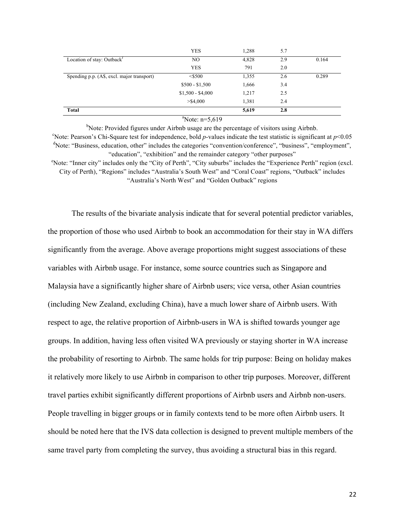|                                                     | <b>YES</b>        | 1,288 | 5.7 |       |
|-----------------------------------------------------|-------------------|-------|-----|-------|
| Location of stay: Outback <sup><math>t</math></sup> | NO                | 4,828 | 2.9 | 0.164 |
|                                                     | <b>YES</b>        | 791   | 2.0 |       |
| Spending p.p. (A\$, excl. major transport)          | $<$ \$500         | 1,355 | 2.6 | 0.289 |
|                                                     | $$500 - $1,500$   | 1,666 | 3.4 |       |
|                                                     | $$1,500 - $4,000$ | 1,217 | 2.5 |       |
|                                                     | $>$ \$4,000       | 1,381 | 2.4 |       |
| <b>Total</b>                                        |                   | 5,619 | 2.8 |       |

#### $\text{a}^{\text{a}}$ Note: n=5,619

<sup>b</sup>Note: Provided figures under Airbnb usage are the percentage of visitors using Airbnb. <sup>c</sup>Note: Pearson's Chi-Square test for independence, bold *p*-values indicate the test statistic is significant at  $p<0.05$ <sup>d</sup>Note: "Business, education, other" includes the categories "convention/conference", "business", "employment", "education", "exhibition" and the remainder category "other purposes" <sup>e</sup>Note: "Inner city" includes only the "City of Perth", "City suburbs" includes the "Experience Perth" region (excl.

City of Perth), "Regions" includes "Australia's South West" and "Coral Coast" regions, "Outback" includes "Australia's North West" and "Golden Outback" regions

The results of the bivariate analysis indicate that for several potential predictor variables, the proportion of those who used Airbnb to book an accommodation for their stay in WA differs significantly from the average. Above average proportions might suggest associations of these variables with Airbnb usage. For instance, some source countries such as Singapore and Malaysia have a significantly higher share of Airbnb users; vice versa, other Asian countries (including New Zealand, excluding China), have a much lower share of Airbnb users. With respect to age, the relative proportion of Airbnb-users in WA is shifted towards younger age groups. In addition, having less often visited WA previously or staying shorter in WA increase the probability of resorting to Airbnb. The same holds for trip purpose: Being on holiday makes it relatively more likely to use Airbnb in comparison to other trip purposes. Moreover, different travel parties exhibit significantly different proportions of Airbnb users and Airbnb non-users. People travelling in bigger groups or in family contexts tend to be more often Airbnb users. It should be noted here that the IVS data collection is designed to prevent multiple members of the same travel party from completing the survey, thus avoiding a structural bias in this regard.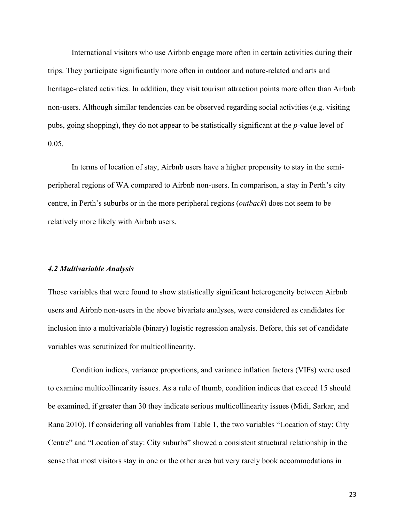International visitors who use Airbnb engage more often in certain activities during their trips. They participate significantly more often in outdoor and nature-related and arts and heritage-related activities. In addition, they visit tourism attraction points more often than Airbnb non-users. Although similar tendencies can be observed regarding social activities (e.g. visiting pubs, going shopping), they do not appear to be statistically significant at the *p*-value level of 0.05.

In terms of location of stay, Airbnb users have a higher propensity to stay in the semiperipheral regions of WA compared to Airbnb non-users. In comparison, a stay in Perth's city centre, in Perth's suburbs or in the more peripheral regions (*outback*) does not seem to be relatively more likely with Airbnb users.

#### *4.2 Multivariable Analysis*

Those variables that were found to show statistically significant heterogeneity between Airbnb users and Airbnb non-users in the above bivariate analyses, were considered as candidates for inclusion into a multivariable (binary) logistic regression analysis. Before, this set of candidate variables was scrutinized for multicollinearity.

Condition indices, variance proportions, and variance inflation factors (VIFs) were used to examine multicollinearity issues. As a rule of thumb, condition indices that exceed 15 should be examined, if greater than 30 they indicate serious multicollinearity issues (Midi, Sarkar, and Rana 2010). If considering all variables from Table 1, the two variables "Location of stay: City Centre" and "Location of stay: City suburbs" showed a consistent structural relationship in the sense that most visitors stay in one or the other area but very rarely book accommodations in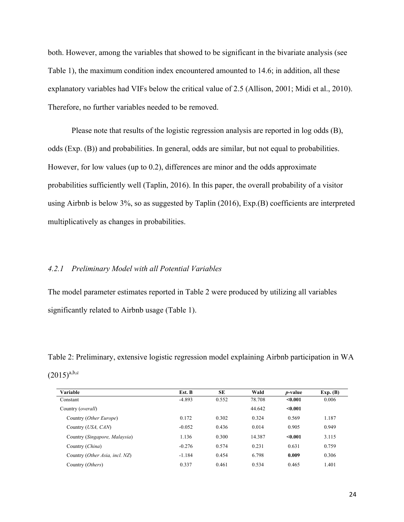both. However, among the variables that showed to be significant in the bivariate analysis (see Table 1), the maximum condition index encountered amounted to 14.6; in addition, all these explanatory variables had VIFs below the critical value of 2.5 (Allison, 2001; Midi et al., 2010). Therefore, no further variables needed to be removed.

Please note that results of the logistic regression analysis are reported in log odds (B), odds (Exp. (B)) and probabilities. In general, odds are similar, but not equal to probabilities. However, for low values (up to 0.2), differences are minor and the odds approximate probabilities sufficiently well (Taplin, 2016). In this paper, the overall probability of a visitor using Airbnb is below 3%, so as suggested by Taplin (2016), Exp.(B) coefficients are interpreted multiplicatively as changes in probabilities.

## *4.2.1 Preliminary Model with all Potential Variables*

The model parameter estimates reported in Table 2 were produced by utilizing all variables significantly related to Airbnb usage (Table 1).

Table 2: Preliminary, extensive logistic regression model explaining Airbnb participation in WA  $(2015)^{a,b,c}$ 

| Variable                            | Est. B   | <b>SE</b> | Wald   | <i>p</i> -value | Exp. (B) |
|-------------------------------------|----------|-----------|--------|-----------------|----------|
| Constant                            | $-4.893$ | 0.552     | 78.708 | $0.001$         | 0.006    |
| Country ( <i>overall</i> )          |          |           | 44.642 | < 0.001         |          |
| Country (Other Europe)              | 0.172    | 0.302     | 0.324  | 0.569           | 1.187    |
| Country ( <i>USA</i> , <i>CAN</i> ) | $-0.052$ | 0.436     | 0.014  | 0.905           | 0.949    |
| Country (Singapore, Malaysia)       | 1.136    | 0.300     | 14.387 | < 0.001         | 3.115    |
| Country (China)                     | $-0.276$ | 0.574     | 0.231  | 0.631           | 0.759    |
| Country (Other Asia, incl. NZ)      | $-1.184$ | 0.454     | 6.798  | 0.009           | 0.306    |
| Country (Others)                    | 0.337    | 0.461     | 0.534  | 0.465           | 1.401    |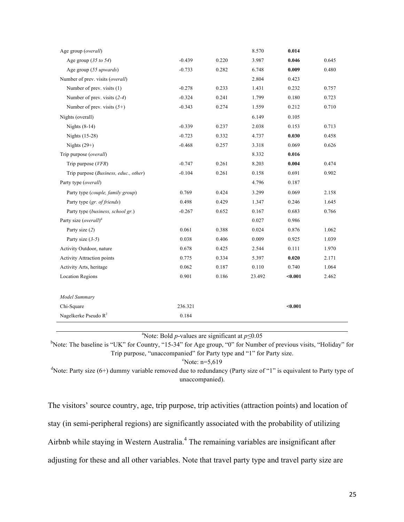| Age group (overall)                   |          |       | 8.570  | 0.014   |       |
|---------------------------------------|----------|-------|--------|---------|-------|
| Age group $(35 \text{ to } 54)$       | $-0.439$ | 0.220 | 3.987  | 0.046   | 0.645 |
| Age group (55 upwards)                | $-0.733$ | 0.282 | 6.748  | 0.009   | 0.480 |
| Number of prev. visits (overall)      |          |       | 2.804  | 0.423   |       |
| Number of prev. visits (1)            | $-0.278$ | 0.233 | 1.431  | 0.232   | 0.757 |
| Number of prev. visits $(2-4)$        | $-0.324$ | 0.241 | 1.799  | 0.180   | 0.723 |
| Number of prev. visits $(5+)$         | $-0.343$ | 0.274 | 1.559  | 0.212   | 0.710 |
| Nights (overall)                      |          |       | 6.149  | 0.105   |       |
| Nights $(8-14)$                       | $-0.339$ | 0.237 | 2.038  | 0.153   | 0.713 |
| Nights (15-28)                        | $-0.723$ | 0.332 | 4.737  | 0.030   | 0.458 |
| Nights $(29+)$                        | $-0.468$ | 0.257 | 3.318  | 0.069   | 0.626 |
| Trip purpose (overall)                |          |       | 8.332  | 0.016   |       |
| Trip purpose $(VFR)$                  | $-0.747$ | 0.261 | 8.203  | 0.004   | 0.474 |
| Trip purpose (Business, educ., other) | $-0.104$ | 0.261 | 0.158  | 0.691   | 0.902 |
| Party type (overall)                  |          |       | 4.796  | 0.187   |       |
| Party type (couple, family group)     | 0.769    | 0.424 | 3.299  | 0.069   | 2.158 |
| Party type (gr. of friends)           | 0.498    | 0.429 | 1.347  | 0.246   | 1.645 |
| Party type (business, school gr.)     | $-0.267$ | 0.652 | 0.167  | 0.683   | 0.766 |
| Party size (overall) <sup>d</sup>     |          |       | 0.027  | 0.986   |       |
| Party size (2)                        | 0.061    | 0.388 | 0.024  | 0.876   | 1.062 |
| Party size $(3-5)$                    | 0.038    | 0.406 | 0.009  | 0.925   | 1.039 |
| Activity Outdoor, nature              | 0.678    | 0.425 | 2.544  | 0.111   | 1.970 |
| <b>Activity Attraction points</b>     | 0.775    | 0.334 | 5.397  | 0.020   | 2.171 |
| Activity Arts, heritage               | 0.062    | 0.187 | 0.110  | 0.740   | 1.064 |
| <b>Location Regions</b>               | 0.901    | 0.186 | 23.492 | $0.001$ | 2.462 |
|                                       |          |       |        |         |       |
| Model Summary                         |          |       |        |         |       |
| Chi-Square                            | 236.321  |       |        | $0.001$ |       |
| Nagelkerke Pseudo R <sup>2</sup>      | 0.184    |       |        |         |       |

a Note: Bold *p*-values are significant at *p≤*0.05

<sup>b</sup>Note: The baseline is "UK" for Country, "15-34" for Age group, "0" for Number of previous visits, "Holiday" for Trip purpose, "unaccompanied" for Party type and "1" for Party size.

 $\textdegree$ Note: n=5,619

<sup>d</sup>Note: Party size (6+) dummy variable removed due to redundancy (Party size of "1" is equivalent to Party type of unaccompanied).

The visitors' source country, age, trip purpose, trip activities (attraction points) and location of stay (in semi-peripheral regions) are significantly associated with the probability of utilizing Airbnb while staying in Western Australia. <sup>4</sup> The remaining variables are insignificant after adjusting for these and all other variables. Note that travel party type and travel party size are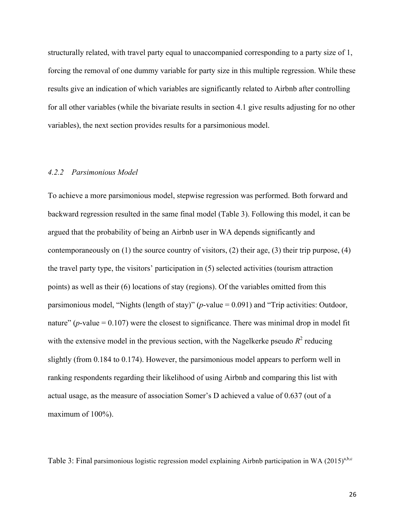structurally related, with travel party equal to unaccompanied corresponding to a party size of 1, forcing the removal of one dummy variable for party size in this multiple regression. While these results give an indication of which variables are significantly related to Airbnb after controlling for all other variables (while the bivariate results in section 4.1 give results adjusting for no other variables), the next section provides results for a parsimonious model.

#### *4.2.2 Parsimonious Model*

To achieve a more parsimonious model, stepwise regression was performed. Both forward and backward regression resulted in the same final model (Table 3). Following this model, it can be argued that the probability of being an Airbnb user in WA depends significantly and contemporaneously on (1) the source country of visitors, (2) their age, (3) their trip purpose, (4) the travel party type, the visitors' participation in (5) selected activities (tourism attraction points) as well as their (6) locations of stay (regions). Of the variables omitted from this parsimonious model, "Nights (length of stay)" (*p*-value = 0.091) and "Trip activities: Outdoor, nature" ( $p$ -value = 0.107) were the closest to significance. There was minimal drop in model fit with the extensive model in the previous section, with the Nagelkerke pseudo  $R^2$  reducing slightly (from 0.184 to 0.174). However, the parsimonious model appears to perform well in ranking respondents regarding their likelihood of using Airbnb and comparing this list with actual usage, as the measure of association Somer's D achieved a value of 0.637 (out of a maximum of 100%).

Table 3: Final parsimonious logistic regression model explaining Airbnb participation in WA (2015)<sup>a,b,c</sup>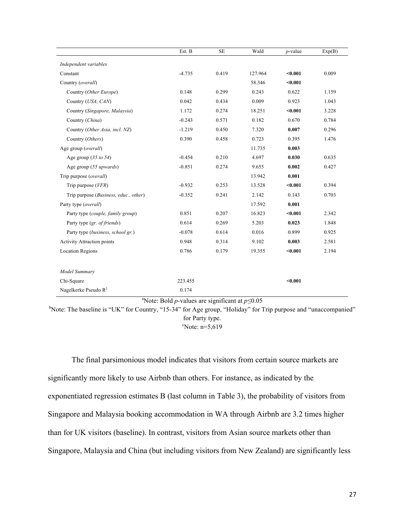|                                       | Est. B   | <b>SE</b> | Wald    | $p$ -value | Exp(B) |
|---------------------------------------|----------|-----------|---------|------------|--------|
| Independent variables                 |          |           |         |            |        |
| Constant                              | $-4.735$ | 0.419     | 127.964 | < 0.001    | 0.009  |
| Country (overall)                     |          |           | 58.346  | < 0.001    |        |
| Country (Other Europe)                | 0.148    | 0.299     | 0.243   | 0.622      | 1.159  |
| Country (USA, CAN)                    | 0.042    | 0.434     | 0.009   | 0.923      | 1.043  |
| Country (Singapore, Malaysia)         | 1.172    | 0.274     | 18.251  | < 0.001    | 3.228  |
| Country (China)                       | $-0.243$ | 0.571     | 0.182   | 0.670      | 0.784  |
| Country (Other Asia, incl. NZ)        | $-1.219$ | 0.450     | 7.320   | 0.007      | 0.296  |
| Country (Others)                      | 0.390    | 0.458     | 0.723   | 0.395      | 1.476  |
| Age group (overall)                   |          |           | 11.735  | 0.003      |        |
| Age group $(35 \text{ to } 54)$       | $-0.454$ | 0.210     | 4.697   | 0.030      | 0.635  |
| Age group (55 upwards)                | $-0.851$ | 0.274     | 9.655   | 0.002      | 0.427  |
| Trip purpose (overall)                |          |           | 13.942  | 0.001      |        |
| Trip purpose $(VFR)$                  | $-0.932$ | 0.253     | 13.528  | $0.001$    | 0.394  |
| Trip purpose (Business, educ., other) | $-0.352$ | 0.241     | 2.142   | 0.143      | 0.703  |
| Party type (overall)                  |          |           | 17.592  | 0.001      |        |
| Party type (couple, family group)     | 0.851    | 0.207     | 16.823  | < 0.001    | 2.342  |
| Party type (gr. of friends)           | 0.614    | 0.269     | 5.203   | 0.023      | 1.848  |
| Party type (business, school gr.)     | $-0.078$ | 0.614     | 0.016   | 0.899      | 0.925  |
| <b>Activity Attraction points</b>     | 0.948    | 0.314     | 9.102   | 0.003      | 2.581  |
| <b>Location Regions</b>               | 0.786    | 0.179     | 19.355  | $0.001$    | 2.194  |
|                                       |          |           |         |            |        |
| Model Summary                         |          |           |         |            |        |
| Chi-Square                            | 223.455  |           |         | $0.001$    |        |
| Nagelkerke Pseudo R <sup>2</sup>      | 0.174    |           |         |            |        |

a Note: Bold *p*-values are significant at *p≤*0.05

<sup>b</sup>Note: The baseline is "UK" for Country, "15-34" for Age group, "Holiday" for Trip purpose and "unaccompanied" for Party type.  $\textdegree$ Note: n=5,619

The final parsimonious model indicates that visitors from certain source markets are significantly more likely to use Airbnb than others. For instance, as indicated by the exponentiated regression estimates B (last column in Table 3), the probability of visitors from Singapore and Malaysia booking accommodation in WA through Airbnb are 3.2 times higher than for UK visitors (baseline). In contrast, visitors from Asian source markets other than Singapore, Malaysia and China (but including visitors from New Zealand) are significantly less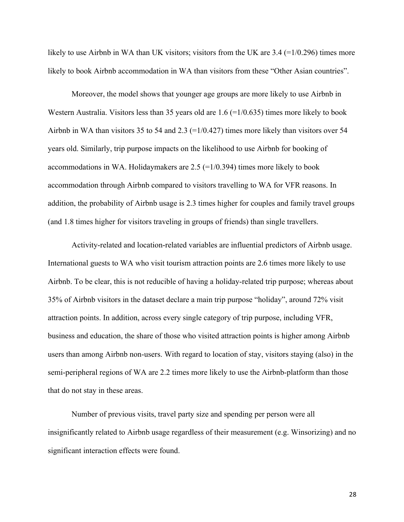likely to use Airbnb in WA than UK visitors; visitors from the UK are 3.4 (=1/0.296) times more likely to book Airbnb accommodation in WA than visitors from these "Other Asian countries".

Moreover, the model shows that younger age groups are more likely to use Airbnb in Western Australia. Visitors less than 35 years old are 1.6 (=1/0.635) times more likely to book Airbnb in WA than visitors 35 to 54 and 2.3 ( $=1/0.427$ ) times more likely than visitors over 54 years old. Similarly, trip purpose impacts on the likelihood to use Airbnb for booking of accommodations in WA. Holidaymakers are  $2.5$  (=1/0.394) times more likely to book accommodation through Airbnb compared to visitors travelling to WA for VFR reasons. In addition, the probability of Airbnb usage is 2.3 times higher for couples and family travel groups (and 1.8 times higher for visitors traveling in groups of friends) than single travellers.

Activity-related and location-related variables are influential predictors of Airbnb usage. International guests to WA who visit tourism attraction points are 2.6 times more likely to use Airbnb. To be clear, this is not reducible of having a holiday-related trip purpose; whereas about 35% of Airbnb visitors in the dataset declare a main trip purpose "holiday", around 72% visit attraction points. In addition, across every single category of trip purpose, including VFR, business and education, the share of those who visited attraction points is higher among Airbnb users than among Airbnb non-users. With regard to location of stay, visitors staying (also) in the semi-peripheral regions of WA are 2.2 times more likely to use the Airbnb-platform than those that do not stay in these areas.

Number of previous visits, travel party size and spending per person were all insignificantly related to Airbnb usage regardless of their measurement (e.g. Winsorizing) and no significant interaction effects were found.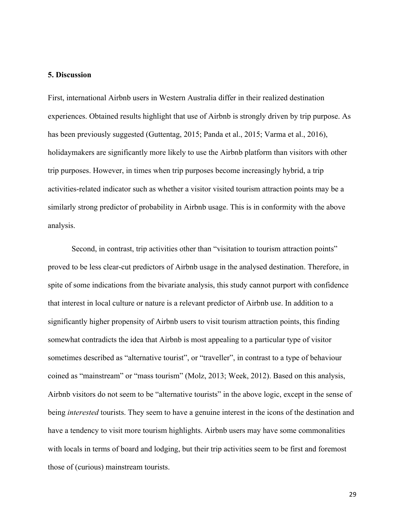#### **5. Discussion**

First, international Airbnb users in Western Australia differ in their realized destination experiences. Obtained results highlight that use of Airbnb is strongly driven by trip purpose. As has been previously suggested (Guttentag, 2015; Panda et al., 2015; Varma et al., 2016), holidaymakers are significantly more likely to use the Airbnb platform than visitors with other trip purposes. However, in times when trip purposes become increasingly hybrid, a trip activities-related indicator such as whether a visitor visited tourism attraction points may be a similarly strong predictor of probability in Airbnb usage. This is in conformity with the above analysis.

Second, in contrast, trip activities other than "visitation to tourism attraction points" proved to be less clear-cut predictors of Airbnb usage in the analysed destination. Therefore, in spite of some indications from the bivariate analysis, this study cannot purport with confidence that interest in local culture or nature is a relevant predictor of Airbnb use. In addition to a significantly higher propensity of Airbnb users to visit tourism attraction points, this finding somewhat contradicts the idea that Airbnb is most appealing to a particular type of visitor sometimes described as "alternative tourist", or "traveller", in contrast to a type of behaviour coined as "mainstream" or "mass tourism" (Molz, 2013; Week, 2012). Based on this analysis, Airbnb visitors do not seem to be "alternative tourists" in the above logic, except in the sense of being *interested* tourists. They seem to have a genuine interest in the icons of the destination and have a tendency to visit more tourism highlights. Airbnb users may have some commonalities with locals in terms of board and lodging, but their trip activities seem to be first and foremost those of (curious) mainstream tourists.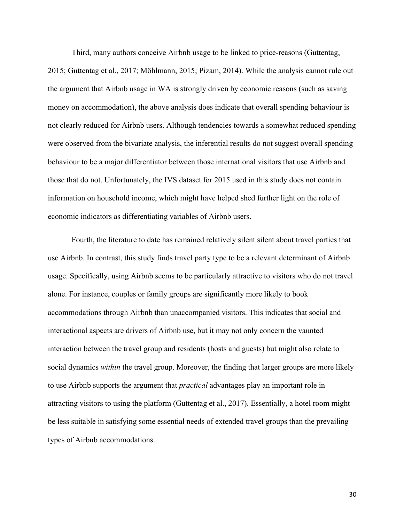Third, many authors conceive Airbnb usage to be linked to price-reasons (Guttentag,

2015; Guttentag et al., 2017; Möhlmann, 2015; Pizam, 2014). While the analysis cannot rule out the argument that Airbnb usage in WA is strongly driven by economic reasons (such as saving money on accommodation), the above analysis does indicate that overall spending behaviour is not clearly reduced for Airbnb users. Although tendencies towards a somewhat reduced spending were observed from the bivariate analysis, the inferential results do not suggest overall spending behaviour to be a major differentiator between those international visitors that use Airbnb and those that do not. Unfortunately, the IVS dataset for 2015 used in this study does not contain information on household income, which might have helped shed further light on the role of economic indicators as differentiating variables of Airbnb users.

Fourth, the literature to date has remained relatively silent silent about travel parties that use Airbnb. In contrast, this study finds travel party type to be a relevant determinant of Airbnb usage. Specifically, using Airbnb seems to be particularly attractive to visitors who do not travel alone. For instance, couples or family groups are significantly more likely to book accommodations through Airbnb than unaccompanied visitors. This indicates that social and interactional aspects are drivers of Airbnb use, but it may not only concern the vaunted interaction between the travel group and residents (hosts and guests) but might also relate to social dynamics *within* the travel group. Moreover, the finding that larger groups are more likely to use Airbnb supports the argument that *practical* advantages play an important role in attracting visitors to using the platform (Guttentag et al., 2017). Essentially, a hotel room might be less suitable in satisfying some essential needs of extended travel groups than the prevailing types of Airbnb accommodations.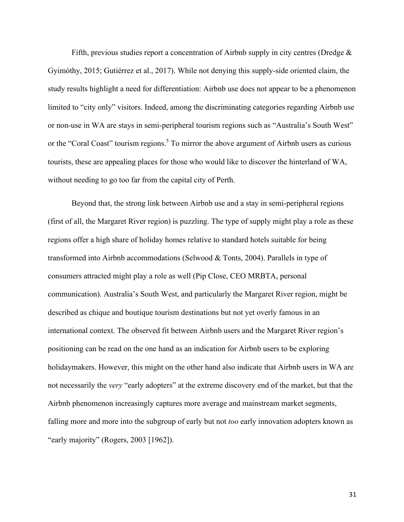Fifth, previous studies report a concentration of Airbnb supply in city centres (Dredge & Gyimóthy, 2015; Gutiérrez et al., 2017). While not denying this supply-side oriented claim, the study results highlight a need for differentiation: Airbnb use does not appear to be a phenomenon limited to "city only" visitors. Indeed, among the discriminating categories regarding Airbnb use or non-use in WA are stays in semi-peripheral tourism regions such as "Australia's South West" or the "Coral Coast" tourism regions.<sup>5</sup> To mirror the above argument of Airbnb users as curious tourists, these are appealing places for those who would like to discover the hinterland of WA, without needing to go too far from the capital city of Perth.

Beyond that, the strong link between Airbnb use and a stay in semi-peripheral regions (first of all, the Margaret River region) is puzzling. The type of supply might play a role as these regions offer a high share of holiday homes relative to standard hotels suitable for being transformed into Airbnb accommodations (Selwood & Tonts, 2004). Parallels in type of consumers attracted might play a role as well (Pip Close, CEO MRBTA, personal communication). Australia's South West, and particularly the Margaret River region, might be described as chique and boutique tourism destinations but not yet overly famous in an international context. The observed fit between Airbnb users and the Margaret River region's positioning can be read on the one hand as an indication for Airbnb users to be exploring holidaymakers. However, this might on the other hand also indicate that Airbnb users in WA are not necessarily the *very* "early adopters" at the extreme discovery end of the market, but that the Airbnb phenomenon increasingly captures more average and mainstream market segments, falling more and more into the subgroup of early but not *too* early innovation adopters known as "early majority" (Rogers, 2003 [1962]).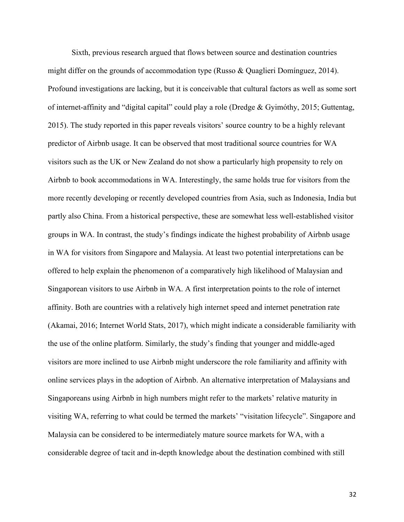Sixth, previous research argued that flows between source and destination countries might differ on the grounds of accommodation type (Russo & Quaglieri Domínguez, 2014). Profound investigations are lacking, but it is conceivable that cultural factors as well as some sort of internet-affinity and "digital capital" could play a role (Dredge & Gyimóthy, 2015; Guttentag, 2015). The study reported in this paper reveals visitors' source country to be a highly relevant predictor of Airbnb usage. It can be observed that most traditional source countries for WA visitors such as the UK or New Zealand do not show a particularly high propensity to rely on Airbnb to book accommodations in WA. Interestingly, the same holds true for visitors from the more recently developing or recently developed countries from Asia, such as Indonesia, India but partly also China. From a historical perspective, these are somewhat less well-established visitor groups in WA. In contrast, the study's findings indicate the highest probability of Airbnb usage in WA for visitors from Singapore and Malaysia. At least two potential interpretations can be offered to help explain the phenomenon of a comparatively high likelihood of Malaysian and Singaporean visitors to use Airbnb in WA. A first interpretation points to the role of internet affinity. Both are countries with a relatively high internet speed and internet penetration rate (Akamai, 2016; Internet World Stats, 2017), which might indicate a considerable familiarity with the use of the online platform. Similarly, the study's finding that younger and middle-aged visitors are more inclined to use Airbnb might underscore the role familiarity and affinity with online services plays in the adoption of Airbnb. An alternative interpretation of Malaysians and Singaporeans using Airbnb in high numbers might refer to the markets' relative maturity in visiting WA, referring to what could be termed the markets' "visitation lifecycle". Singapore and Malaysia can be considered to be intermediately mature source markets for WA, with a considerable degree of tacit and in-depth knowledge about the destination combined with still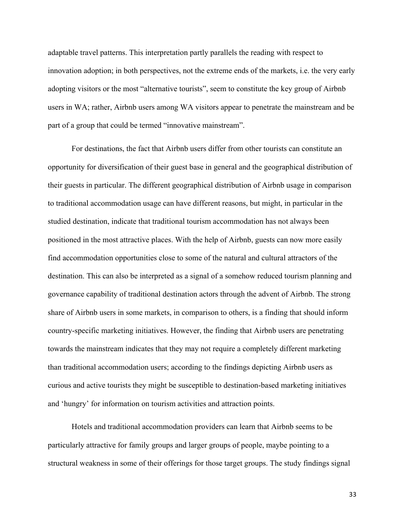adaptable travel patterns. This interpretation partly parallels the reading with respect to innovation adoption; in both perspectives, not the extreme ends of the markets, i.e. the very early adopting visitors or the most "alternative tourists", seem to constitute the key group of Airbnb users in WA; rather, Airbnb users among WA visitors appear to penetrate the mainstream and be part of a group that could be termed "innovative mainstream".

For destinations, the fact that Airbnb users differ from other tourists can constitute an opportunity for diversification of their guest base in general and the geographical distribution of their guests in particular. The different geographical distribution of Airbnb usage in comparison to traditional accommodation usage can have different reasons, but might, in particular in the studied destination, indicate that traditional tourism accommodation has not always been positioned in the most attractive places. With the help of Airbnb, guests can now more easily find accommodation opportunities close to some of the natural and cultural attractors of the destination. This can also be interpreted as a signal of a somehow reduced tourism planning and governance capability of traditional destination actors through the advent of Airbnb. The strong share of Airbnb users in some markets, in comparison to others, is a finding that should inform country-specific marketing initiatives. However, the finding that Airbnb users are penetrating towards the mainstream indicates that they may not require a completely different marketing than traditional accommodation users; according to the findings depicting Airbnb users as curious and active tourists they might be susceptible to destination-based marketing initiatives and 'hungry' for information on tourism activities and attraction points.

Hotels and traditional accommodation providers can learn that Airbnb seems to be particularly attractive for family groups and larger groups of people, maybe pointing to a structural weakness in some of their offerings for those target groups. The study findings signal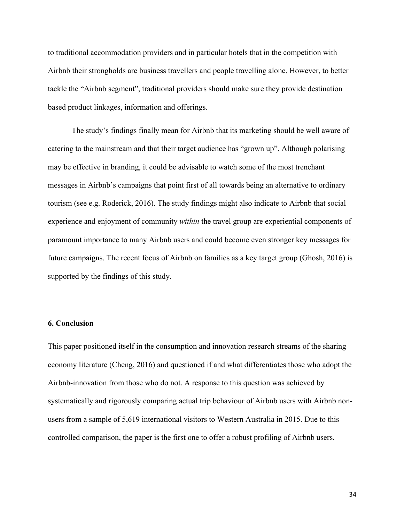to traditional accommodation providers and in particular hotels that in the competition with Airbnb their strongholds are business travellers and people travelling alone. However, to better tackle the "Airbnb segment", traditional providers should make sure they provide destination based product linkages, information and offerings.

The study's findings finally mean for Airbnb that its marketing should be well aware of catering to the mainstream and that their target audience has "grown up". Although polarising may be effective in branding, it could be advisable to watch some of the most trenchant messages in Airbnb's campaigns that point first of all towards being an alternative to ordinary tourism (see e.g. Roderick, 2016). The study findings might also indicate to Airbnb that social experience and enjoyment of community *within* the travel group are experiential components of paramount importance to many Airbnb users and could become even stronger key messages for future campaigns. The recent focus of Airbnb on families as a key target group (Ghosh, 2016) is supported by the findings of this study.

## **6. Conclusion**

This paper positioned itself in the consumption and innovation research streams of the sharing economy literature (Cheng, 2016) and questioned if and what differentiates those who adopt the Airbnb-innovation from those who do not. A response to this question was achieved by systematically and rigorously comparing actual trip behaviour of Airbnb users with Airbnb nonusers from a sample of 5,619 international visitors to Western Australia in 2015. Due to this controlled comparison, the paper is the first one to offer a robust profiling of Airbnb users.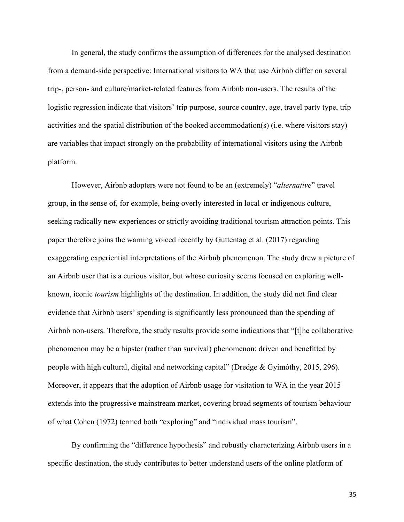In general, the study confirms the assumption of differences for the analysed destination from a demand-side perspective: International visitors to WA that use Airbnb differ on several trip-, person- and culture/market-related features from Airbnb non-users. The results of the logistic regression indicate that visitors' trip purpose, source country, age, travel party type, trip activities and the spatial distribution of the booked accommodation(s) (i.e. where visitors stay) are variables that impact strongly on the probability of international visitors using the Airbnb platform.

However, Airbnb adopters were not found to be an (extremely) "*alternative*" travel group, in the sense of, for example, being overly interested in local or indigenous culture, seeking radically new experiences or strictly avoiding traditional tourism attraction points. This paper therefore joins the warning voiced recently by Guttentag et al. (2017) regarding exaggerating experiential interpretations of the Airbnb phenomenon. The study drew a picture of an Airbnb user that is a curious visitor, but whose curiosity seems focused on exploring wellknown, iconic *tourism* highlights of the destination. In addition, the study did not find clear evidence that Airbnb users' spending is significantly less pronounced than the spending of Airbnb non-users. Therefore, the study results provide some indications that "[t]he collaborative phenomenon may be a hipster (rather than survival) phenomenon: driven and benefitted by people with high cultural, digital and networking capital" (Dredge & Gyimóthy, 2015, 296). Moreover, it appears that the adoption of Airbnb usage for visitation to WA in the year 2015 extends into the progressive mainstream market, covering broad segments of tourism behaviour of what Cohen (1972) termed both "exploring" and "individual mass tourism".

By confirming the "difference hypothesis" and robustly characterizing Airbnb users in a specific destination, the study contributes to better understand users of the online platform of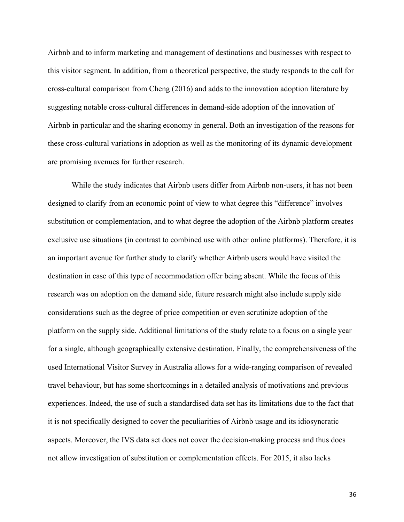Airbnb and to inform marketing and management of destinations and businesses with respect to this visitor segment. In addition, from a theoretical perspective, the study responds to the call for cross-cultural comparison from Cheng (2016) and adds to the innovation adoption literature by suggesting notable cross-cultural differences in demand-side adoption of the innovation of Airbnb in particular and the sharing economy in general. Both an investigation of the reasons for these cross-cultural variations in adoption as well as the monitoring of its dynamic development are promising avenues for further research.

While the study indicates that Airbnb users differ from Airbnb non-users, it has not been designed to clarify from an economic point of view to what degree this "difference" involves substitution or complementation, and to what degree the adoption of the Airbnb platform creates exclusive use situations (in contrast to combined use with other online platforms). Therefore, it is an important avenue for further study to clarify whether Airbnb users would have visited the destination in case of this type of accommodation offer being absent. While the focus of this research was on adoption on the demand side, future research might also include supply side considerations such as the degree of price competition or even scrutinize adoption of the platform on the supply side. Additional limitations of the study relate to a focus on a single year for a single, although geographically extensive destination. Finally, the comprehensiveness of the used International Visitor Survey in Australia allows for a wide-ranging comparison of revealed travel behaviour, but has some shortcomings in a detailed analysis of motivations and previous experiences. Indeed, the use of such a standardised data set has its limitations due to the fact that it is not specifically designed to cover the peculiarities of Airbnb usage and its idiosyncratic aspects. Moreover, the IVS data set does not cover the decision-making process and thus does not allow investigation of substitution or complementation effects. For 2015, it also lacks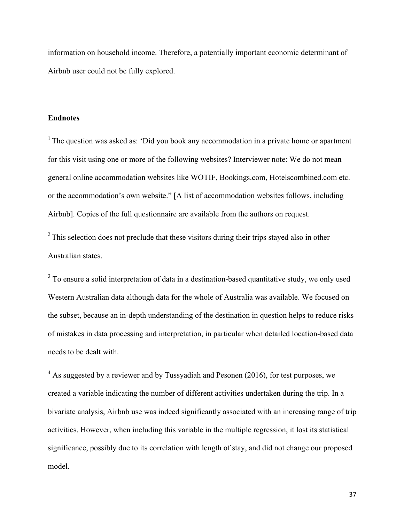information on household income. Therefore, a potentially important economic determinant of Airbnb user could not be fully explored.

#### **Endnotes**

<sup>1</sup> The question was asked as: 'Did you book any accommodation in a private home or apartment for this visit using one or more of the following websites? Interviewer note: We do not mean general online accommodation websites like WOTIF, Bookings.com, Hotelscombined.com etc. or the accommodation's own website." [A list of accommodation websites follows, including Airbnb]. Copies of the full questionnaire are available from the authors on request.

 $2^{\circ}$  This selection does not preclude that these visitors during their trips stayed also in other Australian states.

<sup>3</sup> To ensure a solid interpretation of data in a destination-based quantitative study, we only used Western Australian data although data for the whole of Australia was available. We focused on the subset, because an in-depth understanding of the destination in question helps to reduce risks of mistakes in data processing and interpretation, in particular when detailed location-based data needs to be dealt with.

<sup>4</sup> As suggested by a reviewer and by Tussyadiah and Pesonen (2016), for test purposes, we created a variable indicating the number of different activities undertaken during the trip. In a bivariate analysis, Airbnb use was indeed significantly associated with an increasing range of trip activities. However, when including this variable in the multiple regression, it lost its statistical significance, possibly due to its correlation with length of stay, and did not change our proposed model.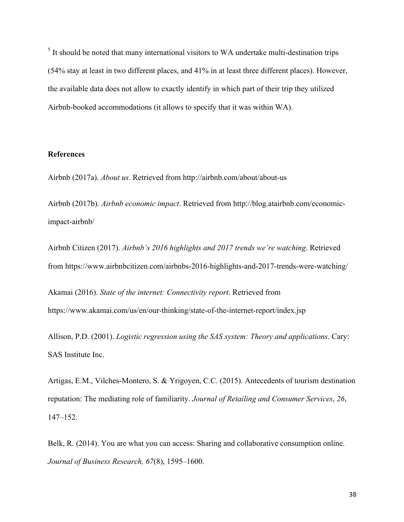$<sup>5</sup>$  It should be noted that many international visitors to WA undertake multi-destination trips</sup> (54% stay at least in two different places, and 41% in at least three different places). However, the available data does not allow to exactly identify in which part of their trip they utilized Airbnb-booked accommodations (it allows to specify that it was within WA).

## **References**

Airbnb (2017a). *About us*. Retrieved from http://airbnb.com/about/about-us

Airbnb (2017b). *Airbnb economic impact*. Retrieved from http://blog.atairbnb.com/economicimpact-airbnb/

Airbnb Citizen (2017). *Airbnb's 2016 highlights and 2017 trends we're watching*. Retrieved from https://www.airbnbcitizen.com/airbnbs-2016-highlights-and-2017-trends-were-watching/

Akamai (2016). *State of the internet: Connectivity report*. Retrieved from https://www.akamai.com/us/en/our-thinking/state-of-the-internet-report/index.jsp

Allison, P.D. (2001). *Logistic regression using the SAS system: Theory and applications*. Cary: SAS Institute Inc.

Artigas, E.M., Vilches-Montero, S. & Yrigoyen, C.C. (2015). Antecedents of tourism destination reputation: The mediating role of familiarity. *Journal of Retailing and Consumer Services*, *26*, 147–152.

Belk, R. (2014). You are what you can access: Sharing and collaborative consumption online. *Journal of Business Research, 67*(8), 1595–1600.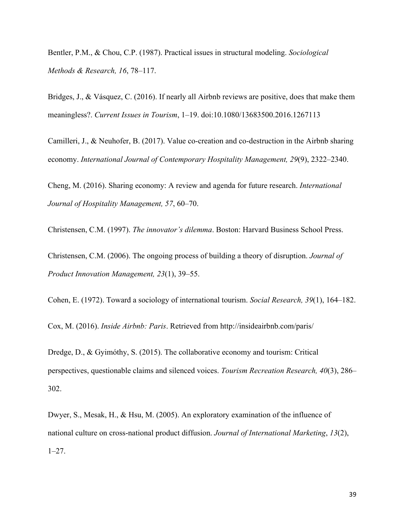Bentler, P.M., & Chou, C.P. (1987). Practical issues in structural modeling. *Sociological Methods & Research, 16*, 78–117.

Bridges, J., & Vásquez, C. (2016). If nearly all Airbnb reviews are positive, does that make them meaningless?. *Current Issues in Tourism*, 1–19. doi:10.1080/13683500.2016.1267113

Camilleri, J., & Neuhofer, B. (2017). Value co-creation and co-destruction in the Airbnb sharing economy. *International Journal of Contemporary Hospitality Management, 29*(9), 2322–2340.

Cheng, M. (2016). Sharing economy: A review and agenda for future research. *International Journal of Hospitality Management, 57*, 60–70.

Christensen, C.M. (1997). *The innovator's dilemma*. Boston: Harvard Business School Press.

Christensen, C.M. (2006). The ongoing process of building a theory of disruption. *Journal of Product Innovation Management, 23*(1), 39–55.

Cohen, E. (1972). Toward a sociology of international tourism. *Social Research, 39*(1), 164–182.

Cox, M. (2016). *Inside Airbnb: Paris*. Retrieved from http://insideairbnb.com/paris/

Dredge, D., & Gyimóthy, S. (2015). The collaborative economy and tourism: Critical perspectives, questionable claims and silenced voices. *Tourism Recreation Research, 40*(3), 286– 302.

Dwyer, S., Mesak, H., & Hsu, M. (2005). An exploratory examination of the influence of national culture on cross-national product diffusion. *Journal of International Marketing*, *13*(2), 1–27.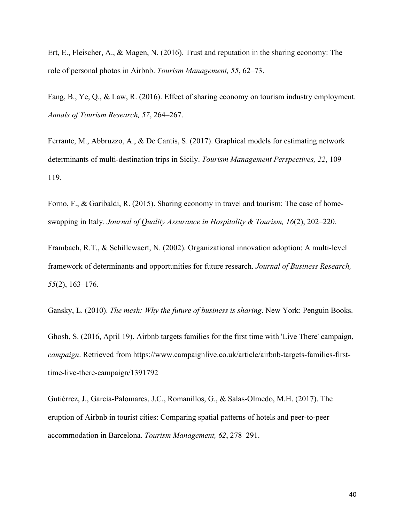Ert, E., Fleischer, A., & Magen, N. (2016). Trust and reputation in the sharing economy: The role of personal photos in Airbnb. *Tourism Management, 55*, 62–73.

Fang, B., Ye, Q., & Law, R. (2016). Effect of sharing economy on tourism industry employment. *Annals of Tourism Research, 57*, 264–267.

Ferrante, M., Abbruzzo, A., & De Cantis, S. (2017). Graphical models for estimating network determinants of multi-destination trips in Sicily. *Tourism Management Perspectives, 22*, 109– 119.

Forno, F., & Garibaldi, R. (2015). Sharing economy in travel and tourism: The case of homeswapping in Italy. *Journal of Quality Assurance in Hospitality & Tourism, 16*(2), 202–220.

Frambach, R.T., & Schillewaert, N. (2002). Organizational innovation adoption: A multi-level framework of determinants and opportunities for future research. *Journal of Business Research, 55*(2), 163–176.

Gansky, L. (2010). *The mesh: Why the future of business is sharing*. New York: Penguin Books.

Ghosh, S. (2016, April 19). Airbnb targets families for the first time with 'Live There' campaign, *campaign*. Retrieved from https://www.campaignlive.co.uk/article/airbnb-targets-families-firsttime-live-there-campaign/1391792

Gutiérrez, J., Garcia-Palomares, J.C., Romanillos, G., & Salas-Olmedo, M.H. (2017). The eruption of Airbnb in tourist cities: Comparing spatial patterns of hotels and peer-to-peer accommodation in Barcelona. *Tourism Management, 62*, 278–291.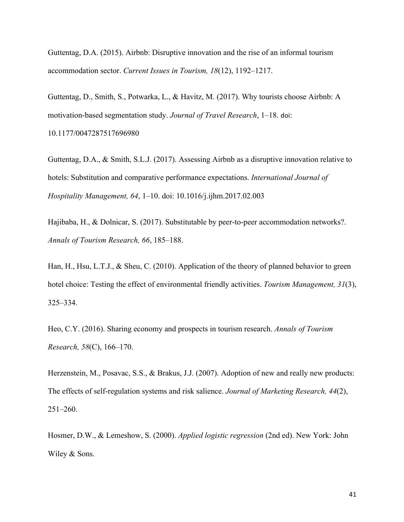Guttentag, D.A. (2015). Airbnb: Disruptive innovation and the rise of an informal tourism accommodation sector. *Current Issues in Tourism, 18*(12), 1192–1217.

Guttentag, D., Smith, S., Potwarka, L., & Havitz, M. (2017). Why tourists choose Airbnb: A motivation-based segmentation study. *Journal of Travel Research*, 1–18. doi: 10.1177/0047287517696980

Guttentag, D.A., & Smith, S.L.J. (2017). Assessing Airbnb as a disruptive innovation relative to hotels: Substitution and comparative performance expectations. *International Journal of Hospitality Management, 64*, 1–10. doi: 10.1016/j.ijhm.2017.02.003

Hajibaba, H., & Dolnicar, S. (2017). Substitutable by peer-to-peer accommodation networks?. *Annals of Tourism Research, 66*, 185–188.

Han, H., Hsu, L.T.J., & Sheu, C. (2010). Application of the theory of planned behavior to green hotel choice: Testing the effect of environmental friendly activities. *Tourism Management, 31*(3), 325–334.

Heo, C.Y. (2016). Sharing economy and prospects in tourism research. *Annals of Tourism Research, 58*(C), 166–170.

Herzenstein, M., Posavac, S.S., & Brakus, J.J. (2007). Adoption of new and really new products: The effects of self-regulation systems and risk salience. *Journal of Marketing Research, 44*(2), 251–260.

Hosmer, D.W., & Lemeshow, S. (2000). *Applied logistic regression* (2nd ed). New York: John Wiley & Sons.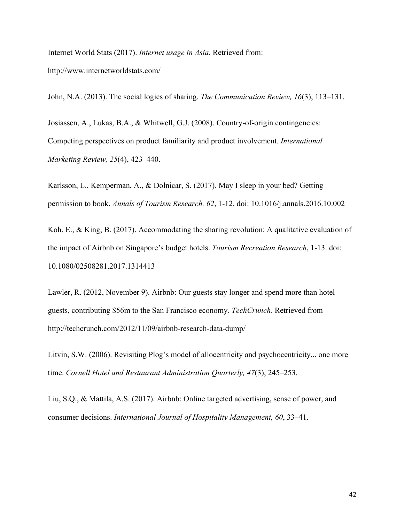Internet World Stats (2017). *Internet usage in Asia*. Retrieved from: http://www.internetworldstats.com/

John, N.A. (2013). The social logics of sharing. *The Communication Review, 16*(3), 113–131.

Josiassen, A., Lukas, B.A., & Whitwell, G.J. (2008). Country-of-origin contingencies: Competing perspectives on product familiarity and product involvement. *International Marketing Review, 25*(4), 423–440.

Karlsson, L., Kemperman, A., & Dolnicar, S. (2017). May I sleep in your bed? Getting permission to book. *Annals of Tourism Research, 62*, 1-12. doi: 10.1016/j.annals.2016.10.002

Koh, E., & King, B. (2017). Accommodating the sharing revolution: A qualitative evaluation of the impact of Airbnb on Singapore's budget hotels. *Tourism Recreation Research*, 1-13. doi: 10.1080/02508281.2017.1314413

Lawler, R. (2012, November 9). Airbnb: Our guests stay longer and spend more than hotel guests, contributing \$56m to the San Francisco economy. *TechCrunch*. Retrieved from http://techcrunch.com/2012/11/09/airbnb-research-data-dump/

Litvin, S.W. (2006). Revisiting Plog's model of allocentricity and psychocentricity... one more time. *Cornell Hotel and Restaurant Administration Quarterly, 47*(3), 245–253.

Liu, S.Q., & Mattila, A.S. (2017). Airbnb: Online targeted advertising, sense of power, and consumer decisions. *International Journal of Hospitality Management, 60*, 33–41.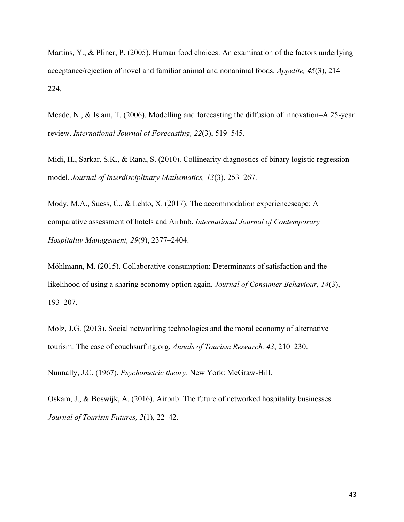Martins, Y., & Pliner, P. (2005). Human food choices: An examination of the factors underlying acceptance/rejection of novel and familiar animal and nonanimal foods. *Appetite, 45*(3), 214– 224.

Meade, N., & Islam, T. (2006). Modelling and forecasting the diffusion of innovation–A 25-year review. *International Journal of Forecasting, 22*(3), 519–545.

Midi, H., Sarkar, S.K., & Rana, S. (2010). Collinearity diagnostics of binary logistic regression model. *Journal of Interdisciplinary Mathematics, 13*(3), 253–267.

Mody, M.A., Suess, C., & Lehto, X. (2017). The accommodation experiencescape: A comparative assessment of hotels and Airbnb. *International Journal of Contemporary Hospitality Management, 29*(9), 2377–2404.

Möhlmann, M. (2015). Collaborative consumption: Determinants of satisfaction and the likelihood of using a sharing economy option again. *Journal of Consumer Behaviour, 14*(3), 193–207.

Molz, J.G. (2013). Social networking technologies and the moral economy of alternative tourism: The case of couchsurfing.org. *Annals of Tourism Research, 43*, 210–230.

Nunnally, J.C. (1967). *Psychometric theory*. New York: McGraw-Hill.

Oskam, J., & Boswijk, A. (2016). Airbnb: The future of networked hospitality businesses. *Journal of Tourism Futures, 2*(1), 22–42.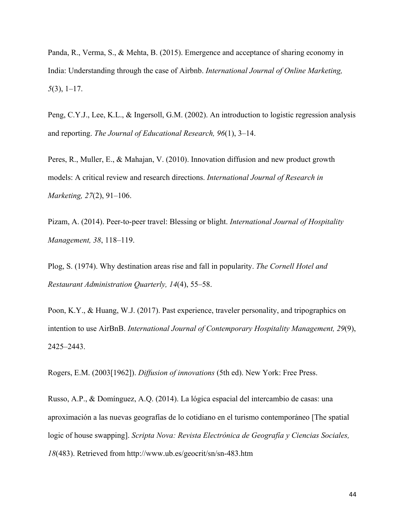Panda, R., Verma, S., & Mehta, B. (2015). Emergence and acceptance of sharing economy in India: Understanding through the case of Airbnb. *International Journal of Online Marketing, 5*(3), 1–17.

Peng, C.Y.J., Lee, K.L., & Ingersoll, G.M. (2002). An introduction to logistic regression analysis and reporting. *The Journal of Educational Research, 96*(1), 3–14.

Peres, R., Muller, E., & Mahajan, V. (2010). Innovation diffusion and new product growth models: A critical review and research directions. *International Journal of Research in Marketing, 27*(2), 91–106.

Pizam, A. (2014). Peer-to-peer travel: Blessing or blight. *International Journal of Hospitality Management, 38*, 118–119.

Plog, S. (1974). Why destination areas rise and fall in popularity. *The Cornell Hotel and Restaurant Administration Quarterly, 14*(4), 55–58.

Poon, K.Y., & Huang, W.J. (2017). Past experience, traveler personality, and tripographics on intention to use AirBnB. *International Journal of Contemporary Hospitality Management, 29*(9), 2425–2443.

Rogers, E.M. (2003[1962]). *Diffusion of innovations* (5th ed). New York: Free Press.

Russo, A.P., & Domínguez, A.Q. (2014). La lógica espacial del intercambio de casas: una aproximación a las nuevas geografías de lo cotidiano en el turismo contemporáneo [The spatial logic of house swapping]. *Scripta Nova: Revista Electrónica de Geografía y Ciencias Sociales, 18*(483). Retrieved from http://www.ub.es/geocrit/sn/sn-483.htm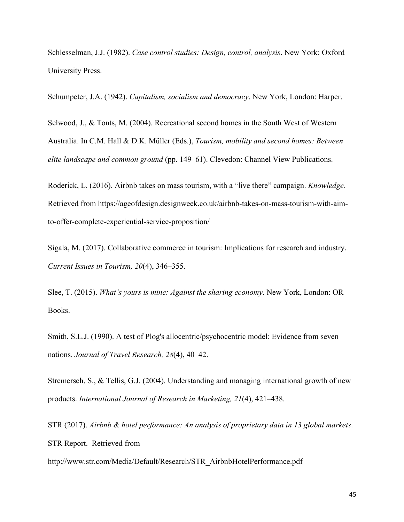Schlesselman, J.J. (1982). *Case control studies: Design, control, analysis*. New York: Oxford University Press.

Schumpeter, J.A. (1942). *Capitalism, socialism and democracy*. New York, London: Harper.

Selwood, J., & Tonts, M. (2004). Recreational second homes in the South West of Western Australia. In C.M. Hall & D.K. Müller (Eds.), *Tourism, mobility and second homes: Between elite landscape and common ground* (pp. 149–61). Clevedon: Channel View Publications.

Roderick, L. (2016). Airbnb takes on mass tourism, with a "live there" campaign. *Knowledge*. Retrieved from https://ageofdesign.designweek.co.uk/airbnb-takes-on-mass-tourism-with-aimto-offer-complete-experiential-service-proposition/

Sigala, M. (2017). Collaborative commerce in tourism: Implications for research and industry. *Current Issues in Tourism, 20*(4), 346–355.

Slee, T. (2015). *What's yours is mine: Against the sharing economy*. New York, London: OR Books.

Smith, S.L.J. (1990). A test of Plog's allocentric/psychocentric model: Evidence from seven nations. *Journal of Travel Research, 28*(4), 40–42.

Stremersch, S., & Tellis, G.J. (2004). Understanding and managing international growth of new products. *International Journal of Research in Marketing, 21*(4), 421–438.

STR (2017). *Airbnb & hotel performance: An analysis of proprietary data in 13 global markets*. STR Report. Retrieved from

http://www.str.com/Media/Default/Research/STR\_AirbnbHotelPerformance.pdf